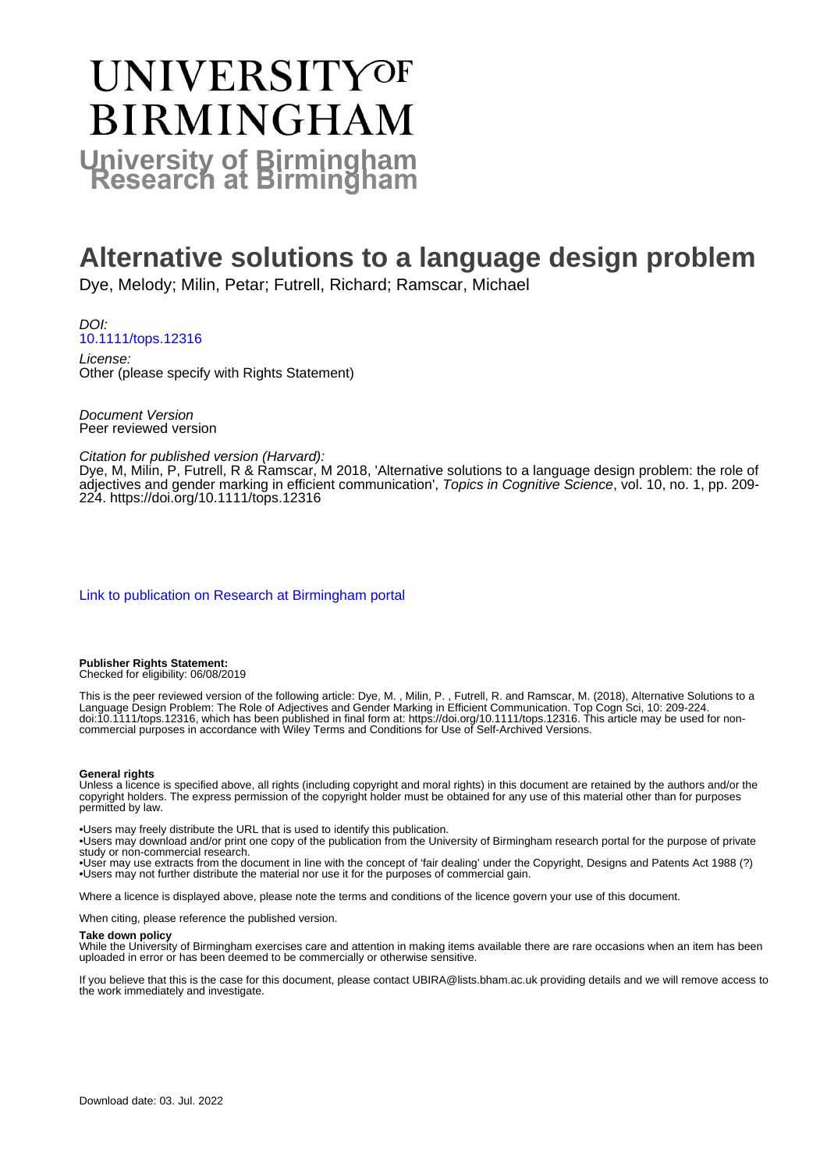# UNIVERSITYOF **BIRMINGHAM University of Birmingham**

# **Alternative solutions to a language design problem**

Dye, Melody; Milin, Petar; Futrell, Richard; Ramscar, Michael

DOI: [10.1111/tops.12316](https://doi.org/10.1111/tops.12316)

License: Other (please specify with Rights Statement)

Document Version Peer reviewed version

Citation for published version (Harvard):

Dye, M, Milin, P, Futrell, R & Ramscar, M 2018, 'Alternative solutions to a language design problem: the role of adjectives and gender marking in efficient communication', Topics in Cognitive Science, vol. 10, no. 1, pp. 209- 224.<https://doi.org/10.1111/tops.12316>

#### [Link to publication on Research at Birmingham portal](https://birmingham.elsevierpure.com/en/publications/a7abe4e7-a2ba-477f-b4b4-9cbcdfd1cf44)

#### **Publisher Rights Statement:**

Checked for eligibility: 06/08/2019

This is the peer reviewed version of the following article: Dye, M. , Milin, P. , Futrell, R. and Ramscar, M. (2018), Alternative Solutions to a Language Design Problem: The Role of Adjectives and Gender Marking in Efficient Communication. Top Cogn Sci, 10: 209-224. doi:10.1111/tops.12316, which has been published in final form at: https://doi.org/10.1111/tops.12316. This article may be used for noncommercial purposes in accordance with Wiley Terms and Conditions for Use of Self-Archived Versions.

#### **General rights**

Unless a licence is specified above, all rights (including copyright and moral rights) in this document are retained by the authors and/or the copyright holders. The express permission of the copyright holder must be obtained for any use of this material other than for purposes permitted by law.

• Users may freely distribute the URL that is used to identify this publication.

• Users may download and/or print one copy of the publication from the University of Birmingham research portal for the purpose of private study or non-commercial research.

• User may use extracts from the document in line with the concept of 'fair dealing' under the Copyright, Designs and Patents Act 1988 (?) • Users may not further distribute the material nor use it for the purposes of commercial gain.

Where a licence is displayed above, please note the terms and conditions of the licence govern your use of this document.

When citing, please reference the published version.

#### **Take down policy**

While the University of Birmingham exercises care and attention in making items available there are rare occasions when an item has been uploaded in error or has been deemed to be commercially or otherwise sensitive.

If you believe that this is the case for this document, please contact UBIRA@lists.bham.ac.uk providing details and we will remove access to the work immediately and investigate.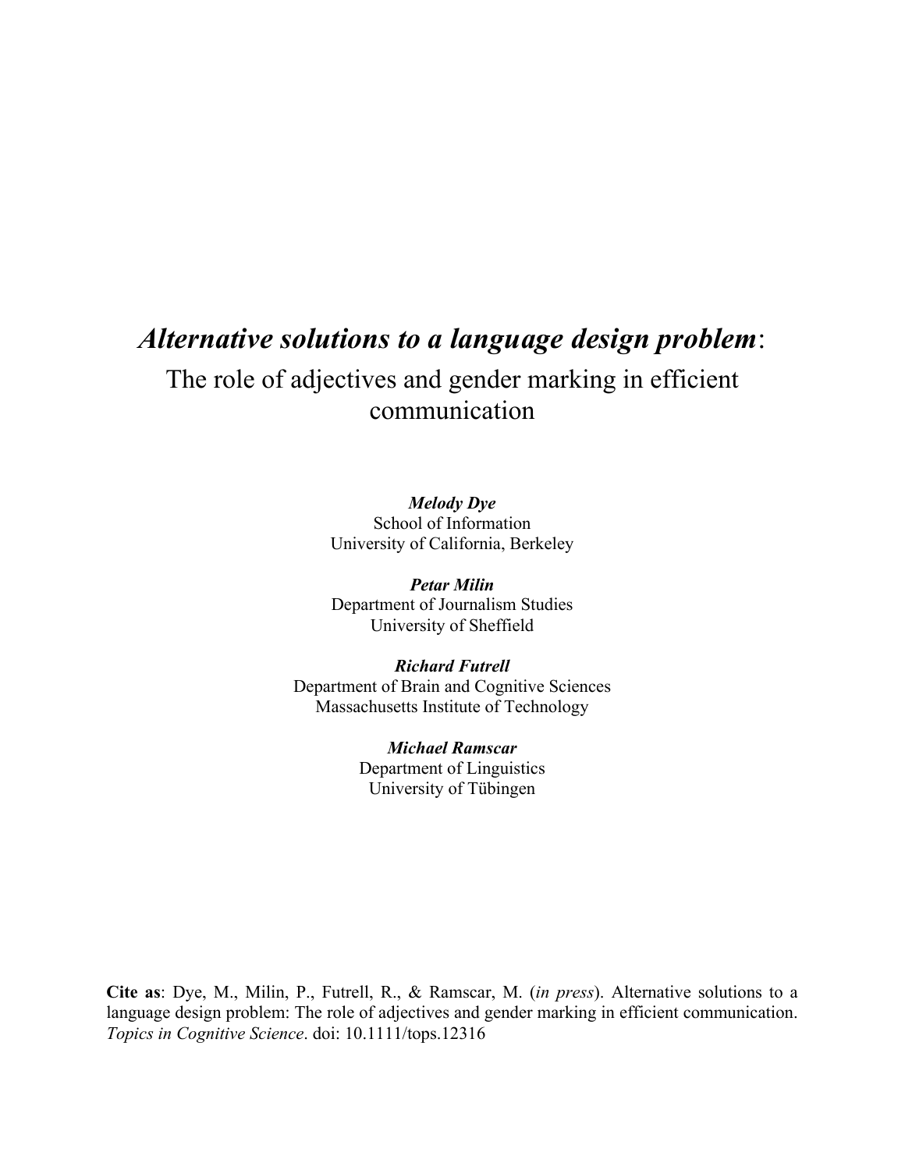# *Alternative solutions to a language design problem*:

## The role of adjectives and gender marking in efficient communication

*Melody Dye* School of Information University of California, Berkeley

*Petar Milin* Department of Journalism Studies University of Sheffield

*Richard Futrell* Department of Brain and Cognitive Sciences Massachusetts Institute of Technology

> *Michael Ramscar* Department of Linguistics University of Tübingen

**Cite as**: Dye, M., Milin, P., Futrell, R., & Ramscar, M. (*in press*). Alternative solutions to a language design problem: The role of adjectives and gender marking in efficient communication. *Topics in Cognitive Science*. doi: 10.1111/tops.12316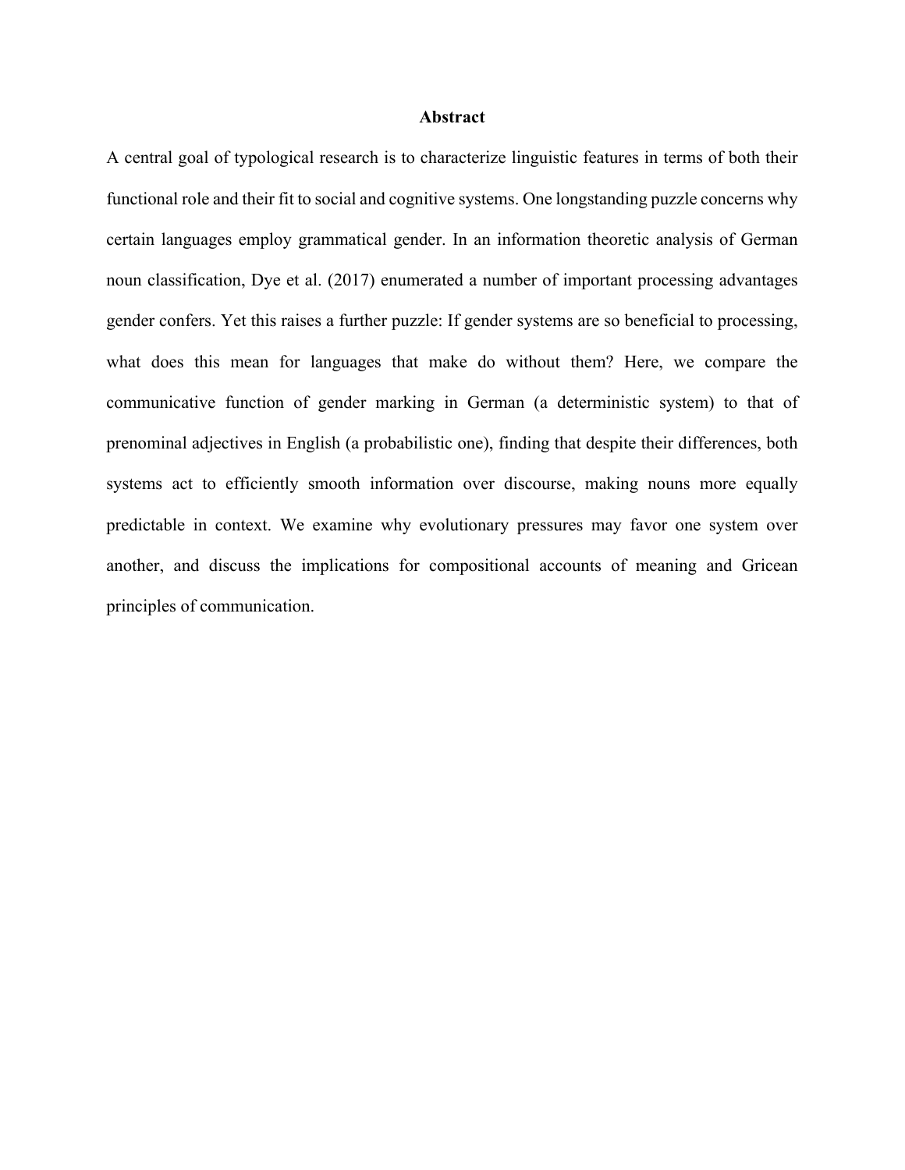#### **Abstract**

A central goal of typological research is to characterize linguistic features in terms of both their functional role and their fit to social and cognitive systems. One longstanding puzzle concerns why certain languages employ grammatical gender. In an information theoretic analysis of German noun classification, Dye et al. (2017) enumerated a number of important processing advantages gender confers. Yet this raises a further puzzle: If gender systems are so beneficial to processing, what does this mean for languages that make do without them? Here, we compare the communicative function of gender marking in German (a deterministic system) to that of prenominal adjectives in English (a probabilistic one), finding that despite their differences, both systems act to efficiently smooth information over discourse, making nouns more equally predictable in context. We examine why evolutionary pressures may favor one system over another, and discuss the implications for compositional accounts of meaning and Gricean principles of communication.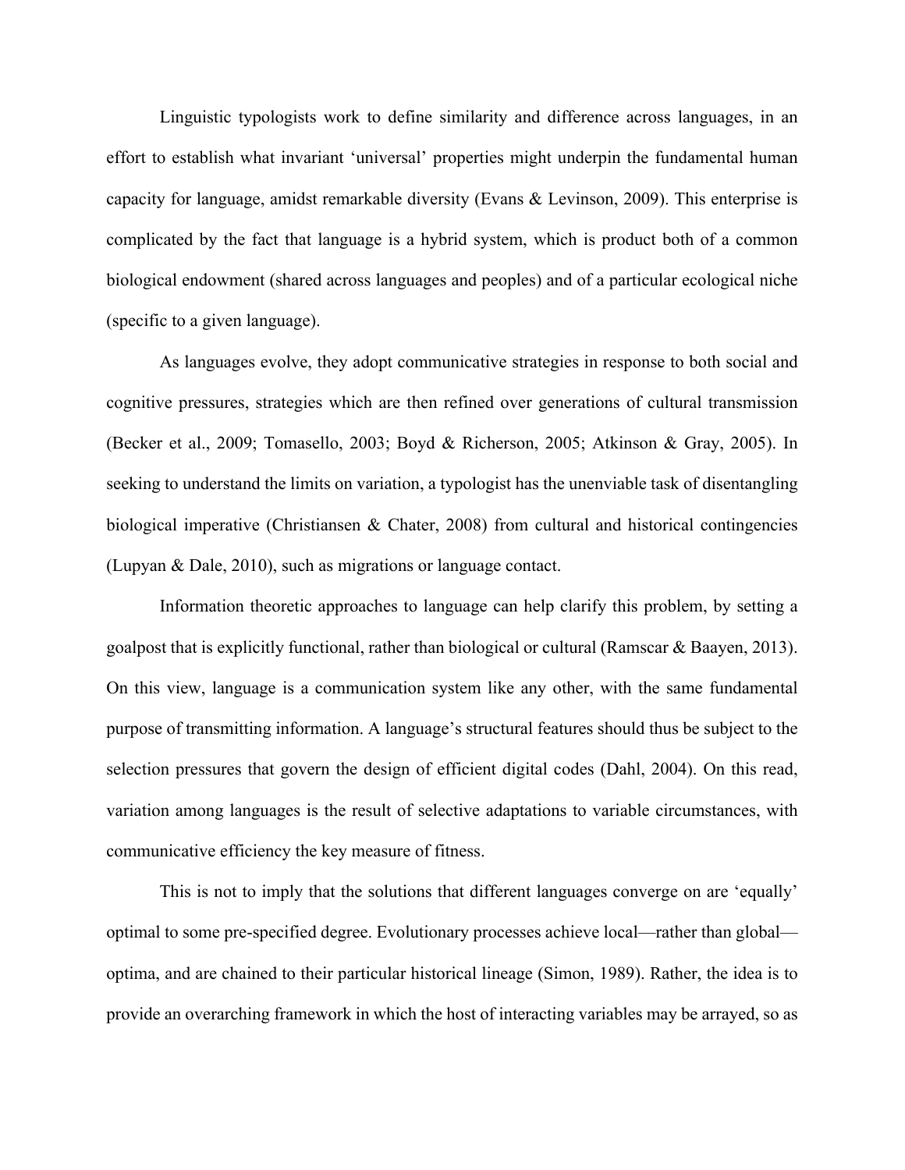Linguistic typologists work to define similarity and difference across languages, in an effort to establish what invariant 'universal' properties might underpin the fundamental human capacity for language, amidst remarkable diversity (Evans & Levinson, 2009). This enterprise is complicated by the fact that language is a hybrid system, which is product both of a common biological endowment (shared across languages and peoples) and of a particular ecological niche (specific to a given language).

As languages evolve, they adopt communicative strategies in response to both social and cognitive pressures, strategies which are then refined over generations of cultural transmission (Becker et al., 2009; Tomasello, 2003; Boyd & Richerson, 2005; Atkinson & Gray, 2005). In seeking to understand the limits on variation, a typologist has the unenviable task of disentangling biological imperative (Christiansen & Chater, 2008) from cultural and historical contingencies (Lupyan & Dale, 2010), such as migrations or language contact.

Information theoretic approaches to language can help clarify this problem, by setting a goalpost that is explicitly functional, rather than biological or cultural (Ramscar & Baayen, 2013). On this view, language is a communication system like any other, with the same fundamental purpose of transmitting information. A language's structural features should thus be subject to the selection pressures that govern the design of efficient digital codes (Dahl, 2004). On this read, variation among languages is the result of selective adaptations to variable circumstances, with communicative efficiency the key measure of fitness.

This is not to imply that the solutions that different languages converge on are 'equally' optimal to some pre-specified degree. Evolutionary processes achieve local—rather than global optima, and are chained to their particular historical lineage (Simon, 1989). Rather, the idea is to provide an overarching framework in which the host of interacting variables may be arrayed, so as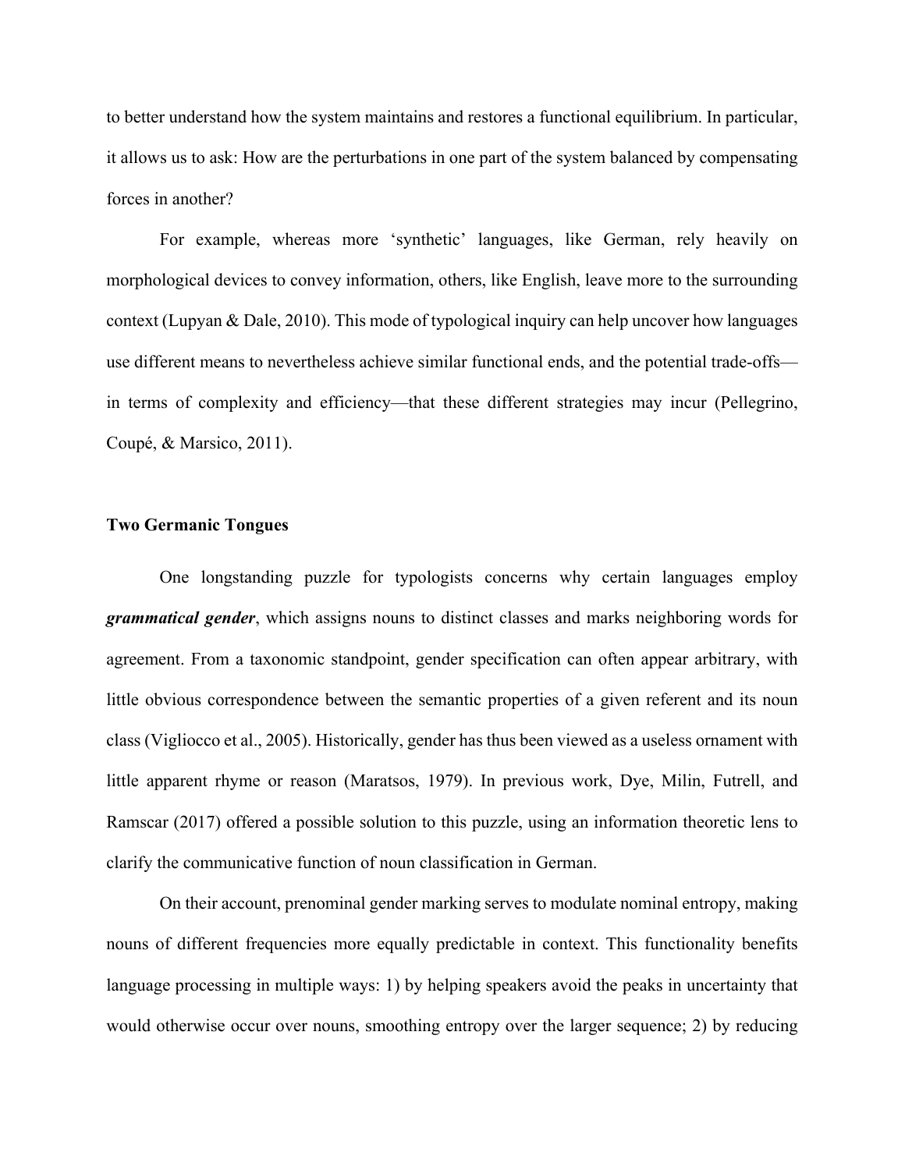to better understand how the system maintains and restores a functional equilibrium. In particular, it allows us to ask: How are the perturbations in one part of the system balanced by compensating forces in another?

For example, whereas more 'synthetic' languages, like German, rely heavily on morphological devices to convey information, others, like English, leave more to the surrounding context (Lupyan & Dale, 2010). This mode of typological inquiry can help uncover how languages use different means to nevertheless achieve similar functional ends, and the potential trade-offs in terms of complexity and efficiency—that these different strategies may incur (Pellegrino, Coupé, & Marsico, 2011).

#### **Two Germanic Tongues**

One longstanding puzzle for typologists concerns why certain languages employ *grammatical gender*, which assigns nouns to distinct classes and marks neighboring words for agreement. From a taxonomic standpoint, gender specification can often appear arbitrary, with little obvious correspondence between the semantic properties of a given referent and its noun class (Vigliocco et al., 2005). Historically, gender has thus been viewed as a useless ornament with little apparent rhyme or reason (Maratsos, 1979). In previous work, Dye, Milin, Futrell, and Ramscar (2017) offered a possible solution to this puzzle, using an information theoretic lens to clarify the communicative function of noun classification in German.

On their account, prenominal gender marking serves to modulate nominal entropy, making nouns of different frequencies more equally predictable in context. This functionality benefits language processing in multiple ways: 1) by helping speakers avoid the peaks in uncertainty that would otherwise occur over nouns, smoothing entropy over the larger sequence; 2) by reducing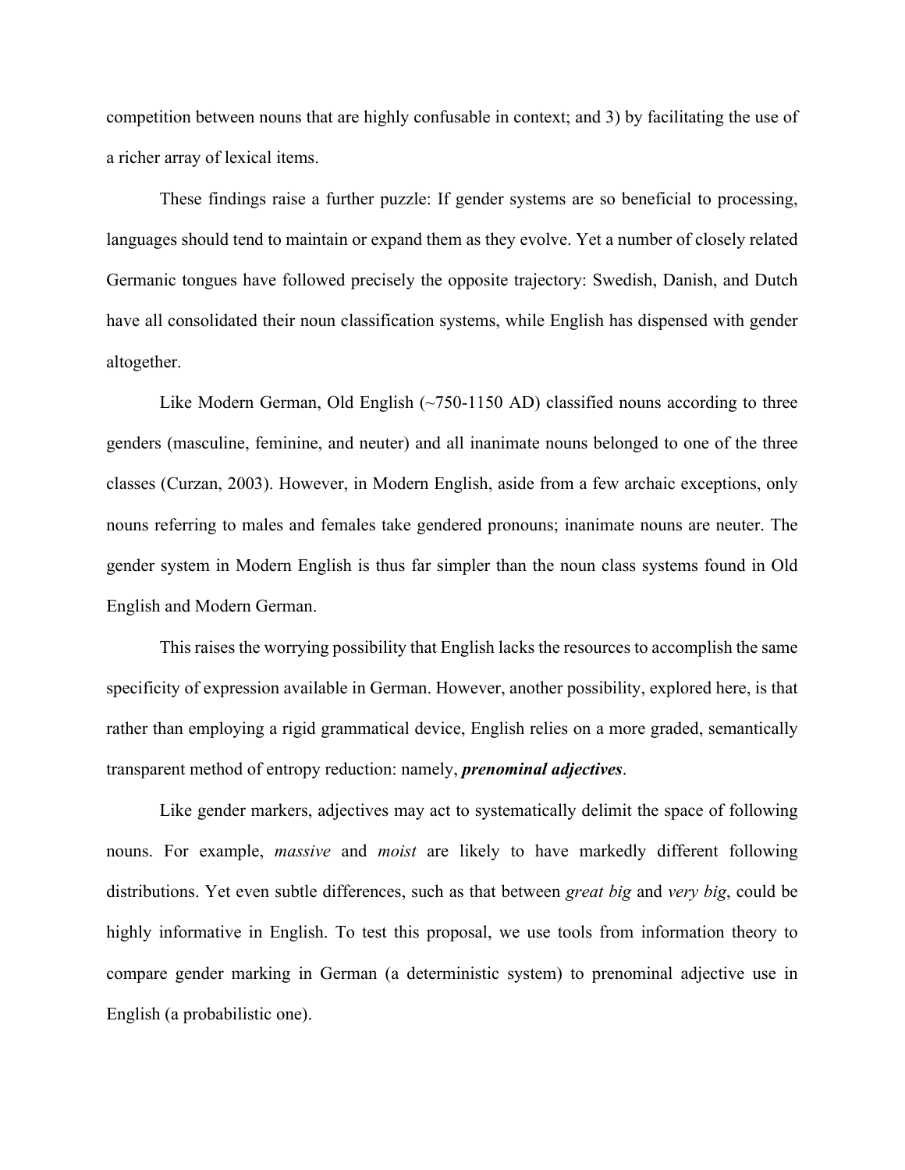competition between nouns that are highly confusable in context; and 3) by facilitating the use of a richer array of lexical items.

These findings raise a further puzzle: If gender systems are so beneficial to processing, languages should tend to maintain or expand them as they evolve. Yet a number of closely related Germanic tongues have followed precisely the opposite trajectory: Swedish, Danish, and Dutch have all consolidated their noun classification systems, while English has dispensed with gender altogether.

Like Modern German, Old English  $(\sim 750-1150 \text{ AD})$  classified nouns according to three genders (masculine, feminine, and neuter) and all inanimate nouns belonged to one of the three classes (Curzan, 2003). However, in Modern English, aside from a few archaic exceptions, only nouns referring to males and females take gendered pronouns; inanimate nouns are neuter. The gender system in Modern English is thus far simpler than the noun class systems found in Old English and Modern German.

This raises the worrying possibility that English lacks the resources to accomplish the same specificity of expression available in German. However, another possibility, explored here, is that rather than employing a rigid grammatical device, English relies on a more graded, semantically transparent method of entropy reduction: namely, *prenominal adjectives*.

Like gender markers, adjectives may act to systematically delimit the space of following nouns. For example, *massive* and *moist* are likely to have markedly different following distributions. Yet even subtle differences, such as that between *great big* and *very big*, could be highly informative in English. To test this proposal, we use tools from information theory to compare gender marking in German (a deterministic system) to prenominal adjective use in English (a probabilistic one).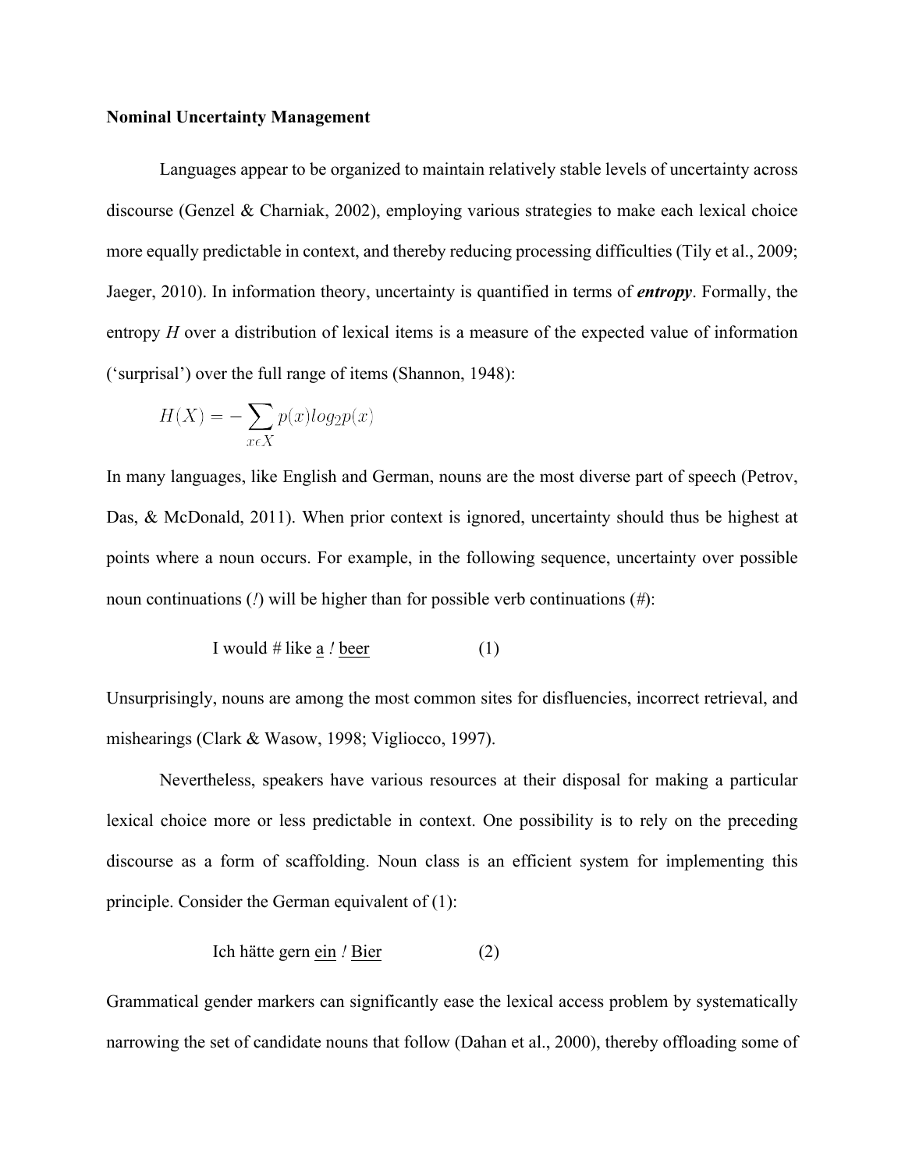#### **Nominal Uncertainty Management**

Languages appear to be organized to maintain relatively stable levels of uncertainty across discourse (Genzel & Charniak, 2002), employing various strategies to make each lexical choice more equally predictable in context, and thereby reducing processing difficulties (Tily et al., 2009; Jaeger, 2010). In information theory, uncertainty is quantified in terms of *entropy*. Formally, the entropy *H* over a distribution of lexical items is a measure of the expected value of information ('surprisal') over the full range of items (Shannon, 1948):

$$
H(X) = -\sum_{x \in X} p(x)log_2 p(x)
$$

In many languages, like English and German, nouns are the most diverse part of speech (Petrov, Das, & McDonald, 2011). When prior context is ignored, uncertainty should thus be highest at points where a noun occurs. For example, in the following sequence, uncertainty over possible noun continuations (*!*) will be higher than for possible verb continuations (*#*):

I would # like 
$$
\underline{a}
$$
 / beer (1)

Unsurprisingly, nouns are among the most common sites for disfluencies, incorrect retrieval, and mishearings (Clark & Wasow, 1998; Vigliocco, 1997).

 Nevertheless, speakers have various resources at their disposal for making a particular lexical choice more or less predictable in context. One possibility is to rely on the preceding discourse as a form of scaffolding. Noun class is an efficient system for implementing this principle. Consider the German equivalent of (1):

$$
Ich hatte germ \nein / Bier (2)
$$

Grammatical gender markers can significantly ease the lexical access problem by systematically narrowing the set of candidate nouns that follow (Dahan et al., 2000), thereby offloading some of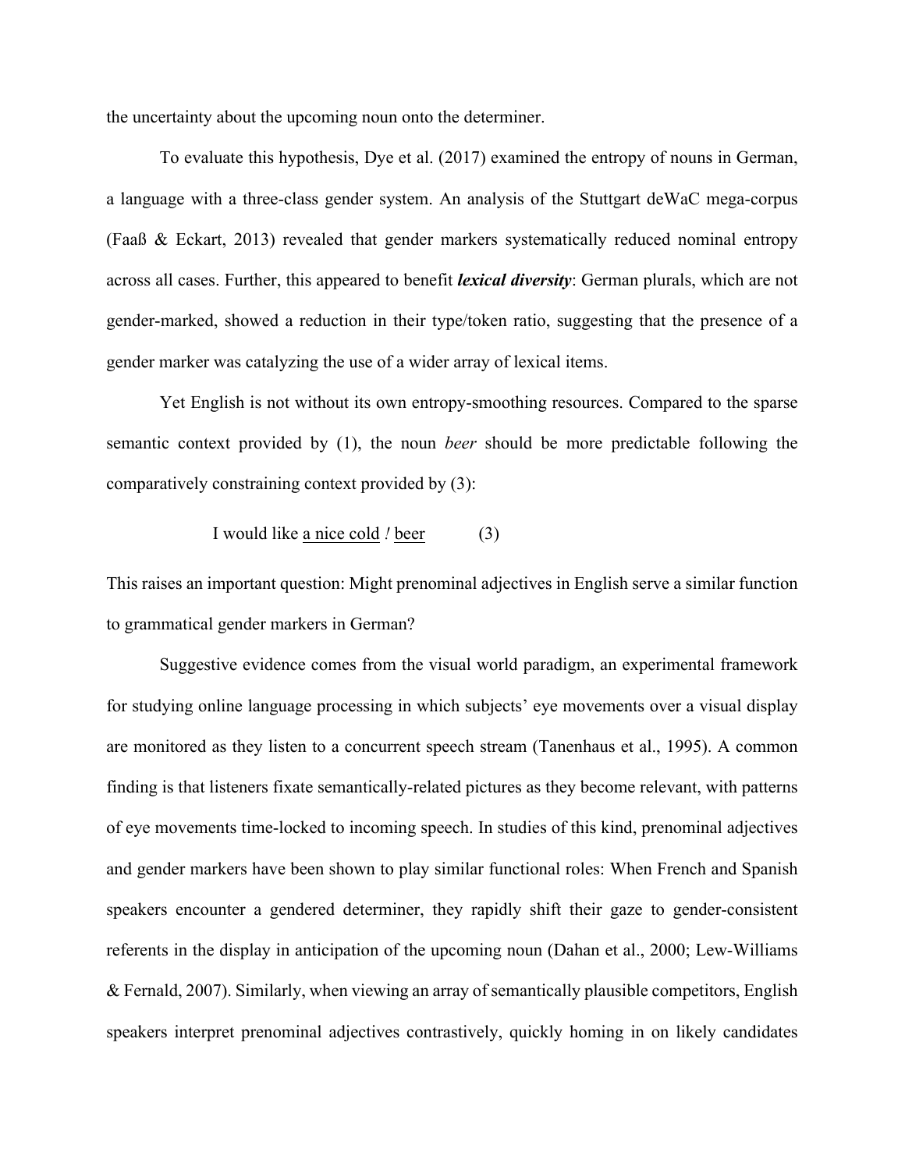the uncertainty about the upcoming noun onto the determiner.

To evaluate this hypothesis, Dye et al. (2017) examined the entropy of nouns in German, a language with a three-class gender system. An analysis of the Stuttgart deWaC mega-corpus (Faaß & Eckart, 2013) revealed that gender markers systematically reduced nominal entropy across all cases. Further, this appeared to benefit *lexical diversity*: German plurals, which are not gender-marked, showed a reduction in their type/token ratio, suggesting that the presence of a gender marker was catalyzing the use of a wider array of lexical items.

Yet English is not without its own entropy-smoothing resources. Compared to the sparse semantic context provided by (1), the noun *beer* should be more predictable following the comparatively constraining context provided by (3):

I would like a nice cold *!* beer (3)

This raises an important question: Might prenominal adjectives in English serve a similar function to grammatical gender markers in German?

 Suggestive evidence comes from the visual world paradigm, an experimental framework for studying online language processing in which subjects' eye movements over a visual display are monitored as they listen to a concurrent speech stream (Tanenhaus et al., 1995). A common finding is that listeners fixate semantically-related pictures as they become relevant, with patterns of eye movements time-locked to incoming speech. In studies of this kind, prenominal adjectives and gender markers have been shown to play similar functional roles: When French and Spanish speakers encounter a gendered determiner, they rapidly shift their gaze to gender-consistent referents in the display in anticipation of the upcoming noun (Dahan et al., 2000; Lew-Williams & Fernald, 2007). Similarly, when viewing an array of semantically plausible competitors, English speakers interpret prenominal adjectives contrastively, quickly homing in on likely candidates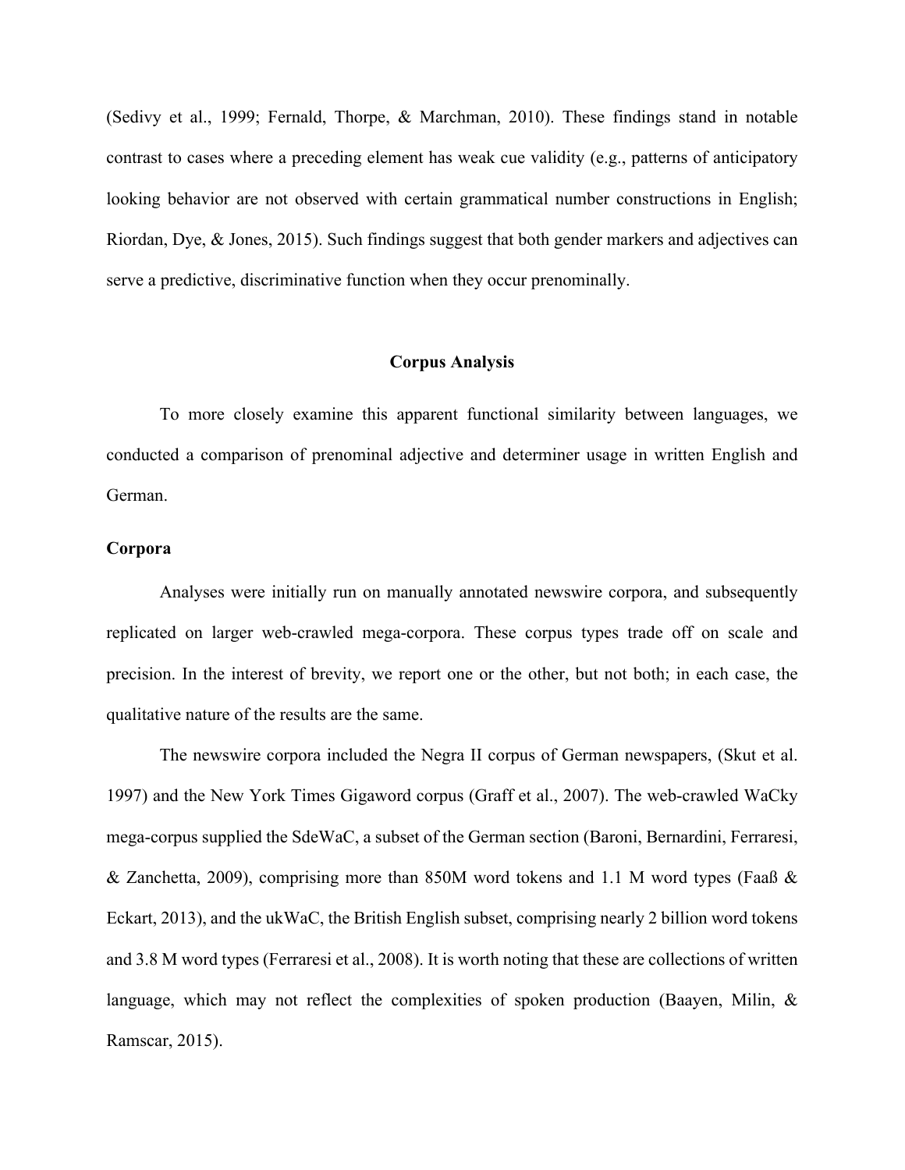(Sedivy et al., 1999; Fernald, Thorpe, & Marchman, 2010). These findings stand in notable contrast to cases where a preceding element has weak cue validity (e.g., patterns of anticipatory looking behavior are not observed with certain grammatical number constructions in English; Riordan, Dye, & Jones, 2015). Such findings suggest that both gender markers and adjectives can serve a predictive, discriminative function when they occur prenominally.

### **Corpus Analysis**

To more closely examine this apparent functional similarity between languages, we conducted a comparison of prenominal adjective and determiner usage in written English and German.

### **Corpora**

Analyses were initially run on manually annotated newswire corpora, and subsequently replicated on larger web-crawled mega-corpora. These corpus types trade off on scale and precision. In the interest of brevity, we report one or the other, but not both; in each case, the qualitative nature of the results are the same.

The newswire corpora included the Negra II corpus of German newspapers, (Skut et al. 1997) and the New York Times Gigaword corpus (Graff et al., 2007). The web-crawled WaCky mega-corpus supplied the SdeWaC, a subset of the German section (Baroni, Bernardini, Ferraresi, & Zanchetta, 2009), comprising more than 850M word tokens and 1.1 M word types (Faaß & Eckart, 2013), and the ukWaC, the British English subset, comprising nearly 2 billion word tokens and 3.8 M word types (Ferraresi et al., 2008). It is worth noting that these are collections of written language, which may not reflect the complexities of spoken production (Baayen, Milin, & Ramscar, 2015).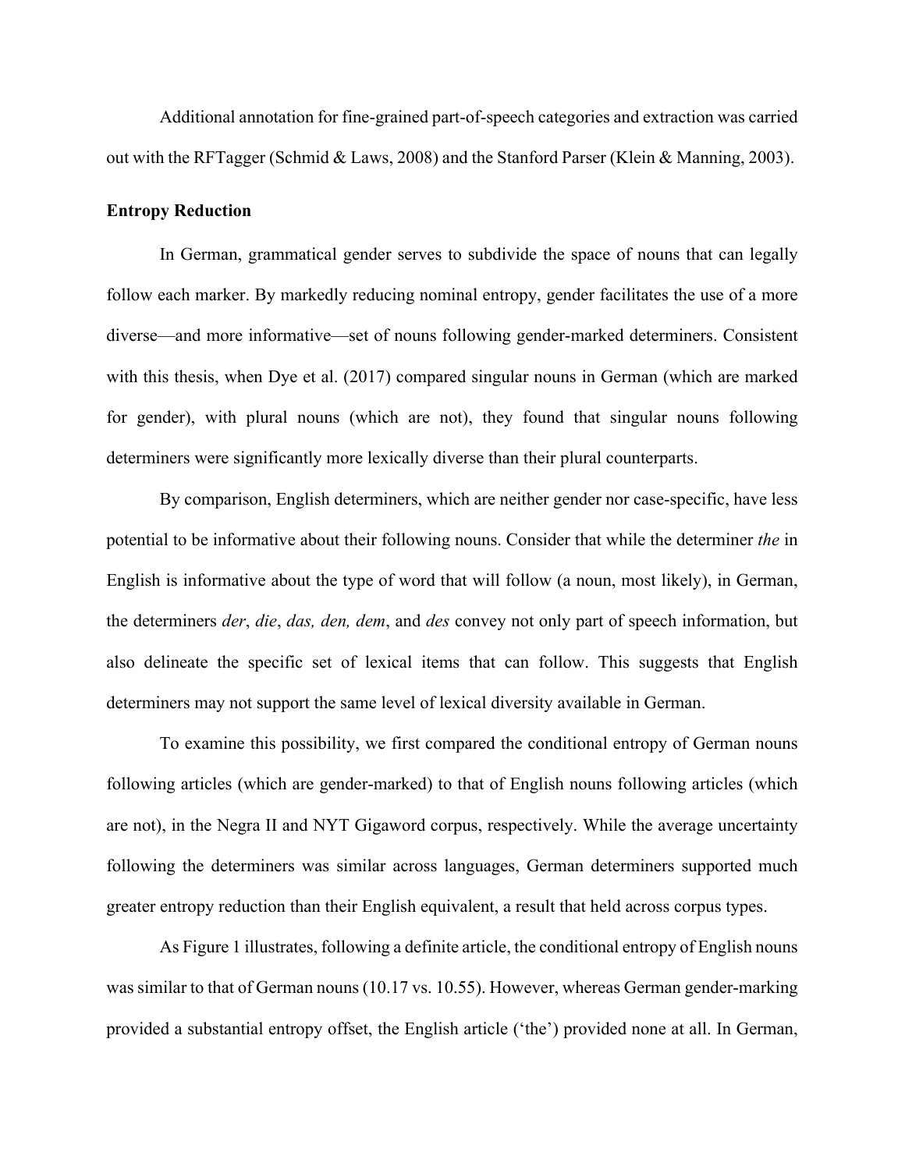Additional annotation for fine-grained part-of-speech categories and extraction was carried out with the RFTagger (Schmid & Laws, 2008) and the Stanford Parser (Klein & Manning, 2003).

#### **Entropy Reduction**

In German, grammatical gender serves to subdivide the space of nouns that can legally follow each marker. By markedly reducing nominal entropy, gender facilitates the use of a more diverse—and more informative—set of nouns following gender-marked determiners. Consistent with this thesis, when Dye et al. (2017) compared singular nouns in German (which are marked for gender), with plural nouns (which are not), they found that singular nouns following determiners were significantly more lexically diverse than their plural counterparts.

By comparison, English determiners, which are neither gender nor case-specific, have less potential to be informative about their following nouns. Consider that while the determiner *the* in English is informative about the type of word that will follow (a noun, most likely), in German, the determiners *der*, *die*, *das, den, dem*, and *des* convey not only part of speech information, but also delineate the specific set of lexical items that can follow. This suggests that English determiners may not support the same level of lexical diversity available in German.

To examine this possibility, we first compared the conditional entropy of German nouns following articles (which are gender-marked) to that of English nouns following articles (which are not), in the Negra II and NYT Gigaword corpus, respectively. While the average uncertainty following the determiners was similar across languages, German determiners supported much greater entropy reduction than their English equivalent, a result that held across corpus types.

As Figure 1 illustrates, following a definite article, the conditional entropy of English nouns was similar to that of German nouns (10.17 vs. 10.55). However, whereas German gender-marking provided a substantial entropy offset, the English article ('the') provided none at all. In German,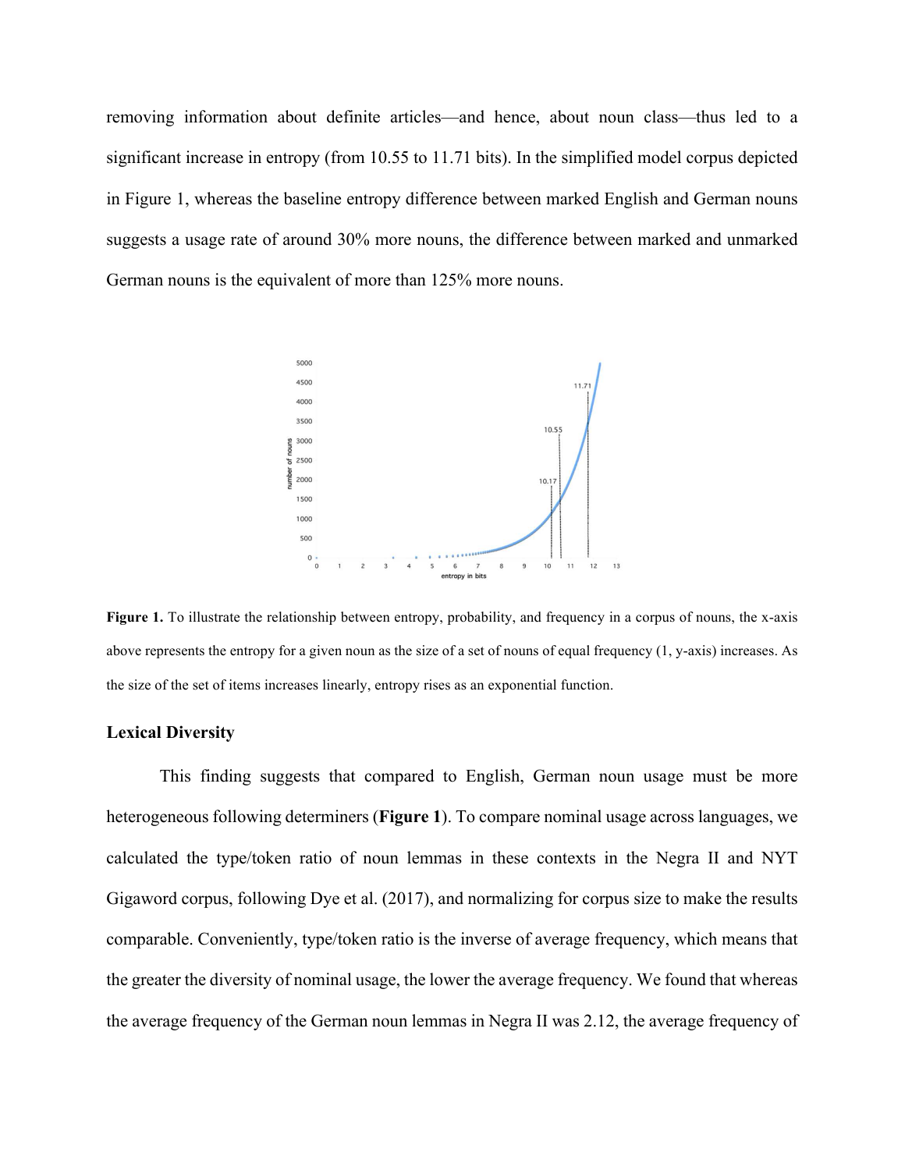removing information about definite articles—and hence, about noun class—thus led to a significant increase in entropy (from 10.55 to 11.71 bits). In the simplified model corpus depicted in Figure 1, whereas the baseline entropy difference between marked English and German nouns suggests a usage rate of around 30% more nouns, the difference between marked and unmarked German nouns is the equivalent of more than 125% more nouns.



Figure 1. To illustrate the relationship between entropy, probability, and frequency in a corpus of nouns, the x-axis above represents the entropy for a given noun as the size of a set of nouns of equal frequency  $(1, y\text{-axis})$  increases. As the size of the set of items increases linearly, entropy rises as an exponential function.

#### **Lexical Diversity**

This finding suggests that compared to English, German noun usage must be more heterogeneous following determiners (**Figure 1**). To compare nominal usage across languages, we calculated the type/token ratio of noun lemmas in these contexts in the Negra II and NYT Gigaword corpus, following Dye et al. (2017), and normalizing for corpus size to make the results comparable. Conveniently, type/token ratio is the inverse of average frequency, which means that the greater the diversity of nominal usage, the lower the average frequency. We found that whereas the average frequency of the German noun lemmas in Negra II was 2.12, the average frequency of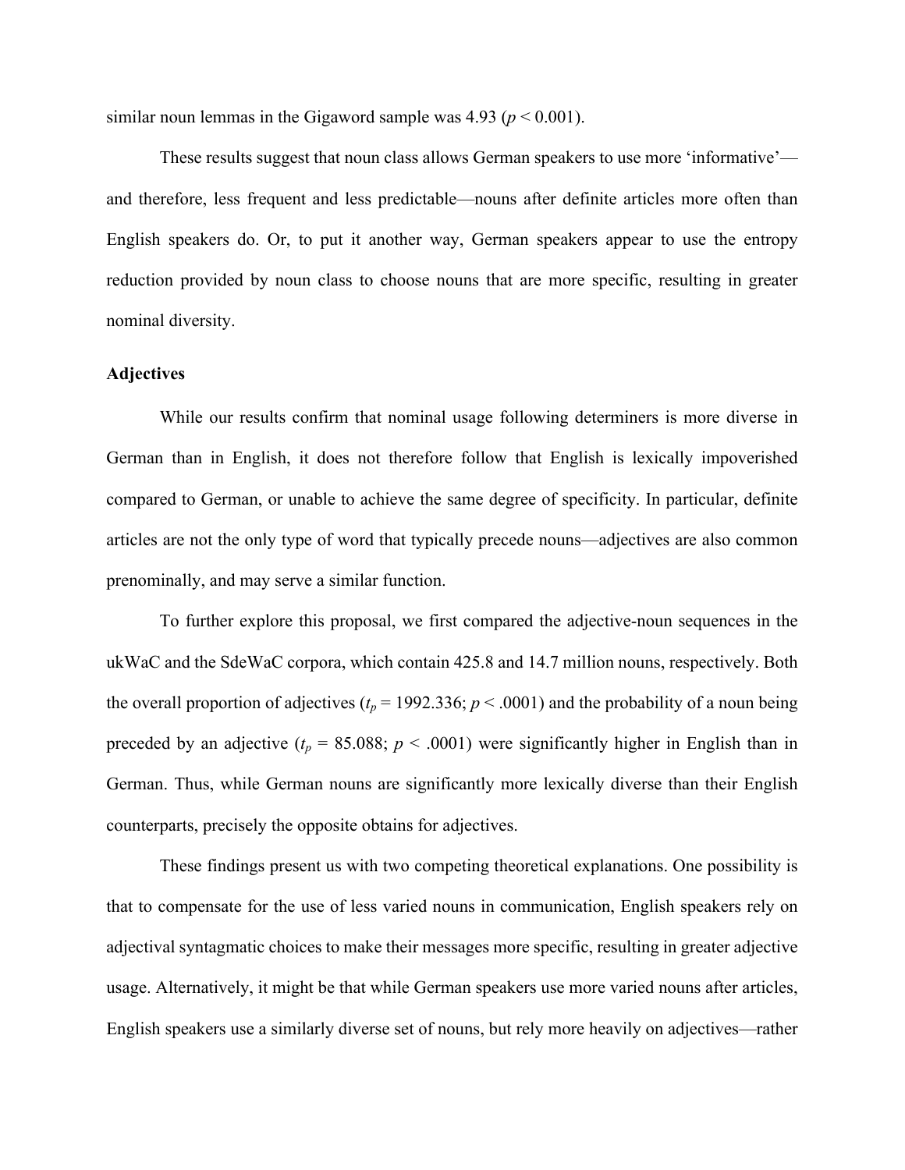similar noun lemmas in the Gigaword sample was  $4.93$  ( $p < 0.001$ ).

These results suggest that noun class allows German speakers to use more 'informative' and therefore, less frequent and less predictable—nouns after definite articles more often than English speakers do. Or, to put it another way, German speakers appear to use the entropy reduction provided by noun class to choose nouns that are more specific, resulting in greater nominal diversity.

### **Adjectives**

While our results confirm that nominal usage following determiners is more diverse in German than in English, it does not therefore follow that English is lexically impoverished compared to German, or unable to achieve the same degree of specificity. In particular, definite articles are not the only type of word that typically precede nouns—adjectives are also common prenominally, and may serve a similar function.

To further explore this proposal, we first compared the adjective-noun sequences in the ukWaC and the SdeWaC corpora, which contain 425.8 and 14.7 million nouns, respectively. Both the overall proportion of adjectives ( $t_p$  = 1992.336;  $p$  < .0001) and the probability of a noun being preceded by an adjective ( $t_p$  = 85.088;  $p$  < .0001) were significantly higher in English than in German. Thus, while German nouns are significantly more lexically diverse than their English counterparts, precisely the opposite obtains for adjectives.

These findings present us with two competing theoretical explanations. One possibility is that to compensate for the use of less varied nouns in communication, English speakers rely on adjectival syntagmatic choices to make their messages more specific, resulting in greater adjective usage. Alternatively, it might be that while German speakers use more varied nouns after articles, English speakers use a similarly diverse set of nouns, but rely more heavily on adjectives—rather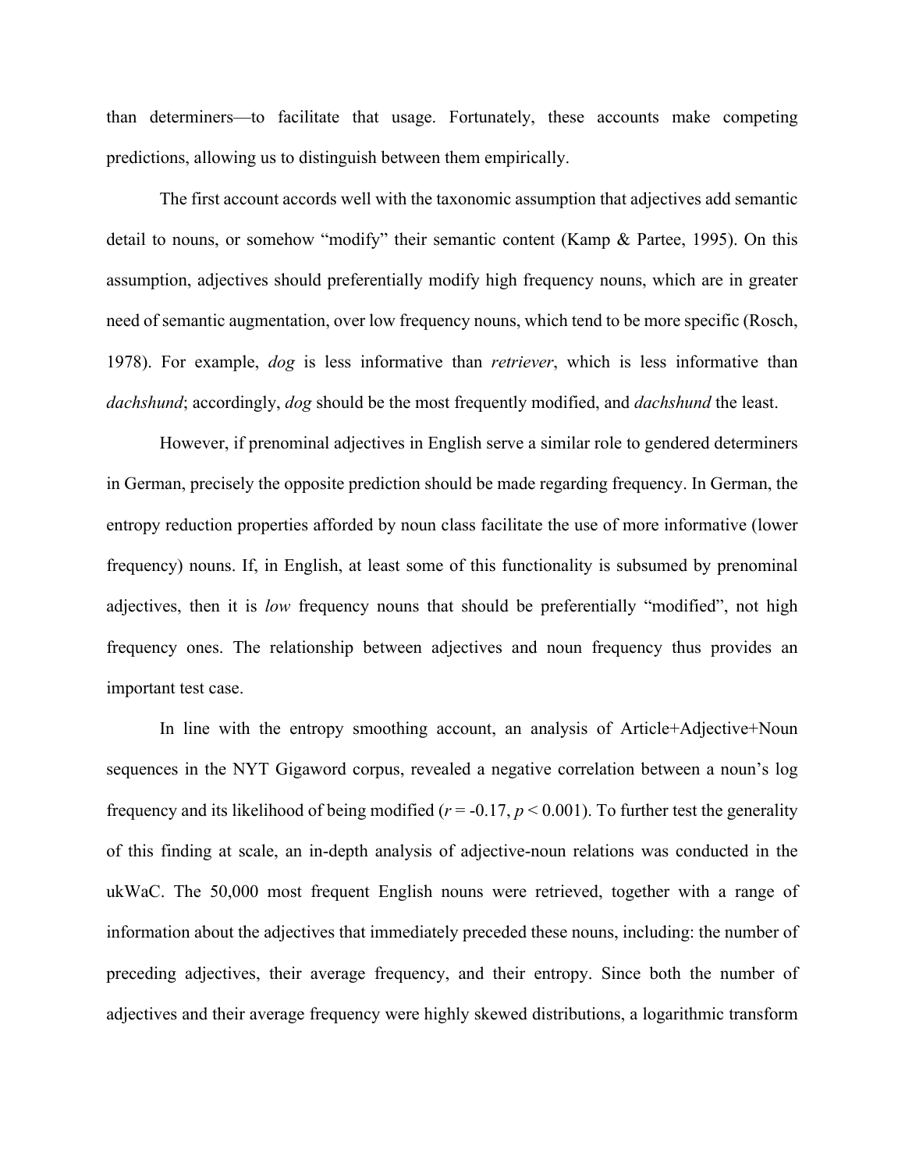than determiners—to facilitate that usage. Fortunately, these accounts make competing predictions, allowing us to distinguish between them empirically.

The first account accords well with the taxonomic assumption that adjectives add semantic detail to nouns, or somehow "modify" their semantic content (Kamp & Partee, 1995). On this assumption, adjectives should preferentially modify high frequency nouns, which are in greater need of semantic augmentation, over low frequency nouns, which tend to be more specific (Rosch, 1978). For example, *dog* is less informative than *retriever*, which is less informative than *dachshund*; accordingly, *dog* should be the most frequently modified, and *dachshund* the least.

However, if prenominal adjectives in English serve a similar role to gendered determiners in German, precisely the opposite prediction should be made regarding frequency. In German, the entropy reduction properties afforded by noun class facilitate the use of more informative (lower frequency) nouns. If, in English, at least some of this functionality is subsumed by prenominal adjectives, then it is *low* frequency nouns that should be preferentially "modified", not high frequency ones. The relationship between adjectives and noun frequency thus provides an important test case.

In line with the entropy smoothing account, an analysis of Article+Adjective+Noun sequences in the NYT Gigaword corpus, revealed a negative correlation between a noun's log frequency and its likelihood of being modified ( $r = -0.17$ ,  $p < 0.001$ ). To further test the generality of this finding at scale, an in-depth analysis of adjective-noun relations was conducted in the ukWaC. The 50,000 most frequent English nouns were retrieved, together with a range of information about the adjectives that immediately preceded these nouns, including: the number of preceding adjectives, their average frequency, and their entropy. Since both the number of adjectives and their average frequency were highly skewed distributions, a logarithmic transform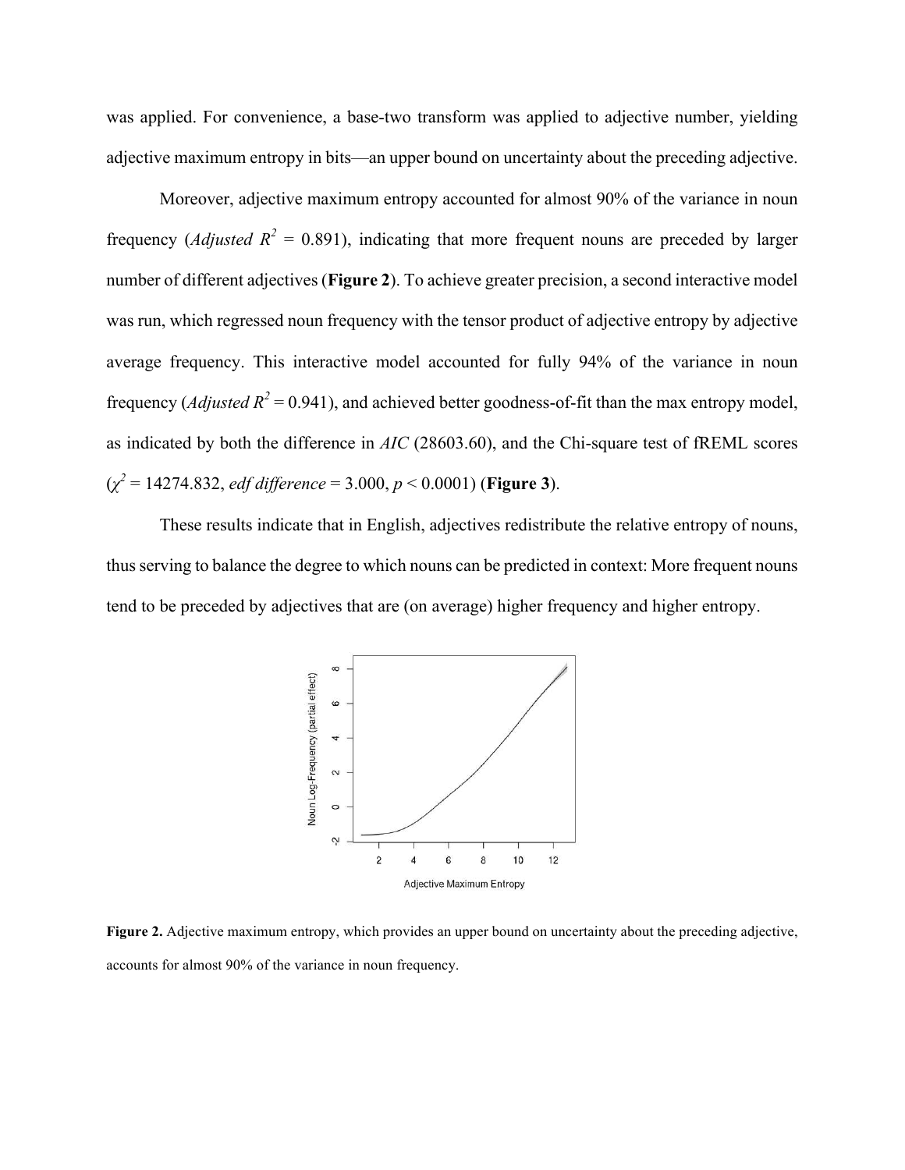was applied. For convenience, a base-two transform was applied to adjective number, yielding adjective maximum entropy in bits—an upper bound on uncertainty about the preceding adjective.

Moreover, adjective maximum entropy accounted for almost 90% of the variance in noun frequency (*Adjusted*  $R^2 = 0.891$ ), indicating that more frequent nouns are preceded by larger number of different adjectives (**Figure 2**). To achieve greater precision, a second interactive model was run, which regressed noun frequency with the tensor product of adjective entropy by adjective average frequency. This interactive model accounted for fully 94% of the variance in noun frequency (*Adjusted R*<sup>2</sup> = 0.941), and achieved better goodness-of-fit than the max entropy model, as indicated by both the difference in *AIC* (28603.60), and the Chi-square test of fREML scores (*χ 2* = 14274.832, *edf difference* = 3.000, *p* < 0.0001) (**Figure 3**).

These results indicate that in English, adjectives redistribute the relative entropy of nouns, thus serving to balance the degree to which nouns can be predicted in context: More frequent nouns tend to be preceded by adjectives that are (on average) higher frequency and higher entropy.



**Figure 2.** Adjective maximum entropy, which provides an upper bound on uncertainty about the preceding adjective, accounts for almost 90% of the variance in noun frequency.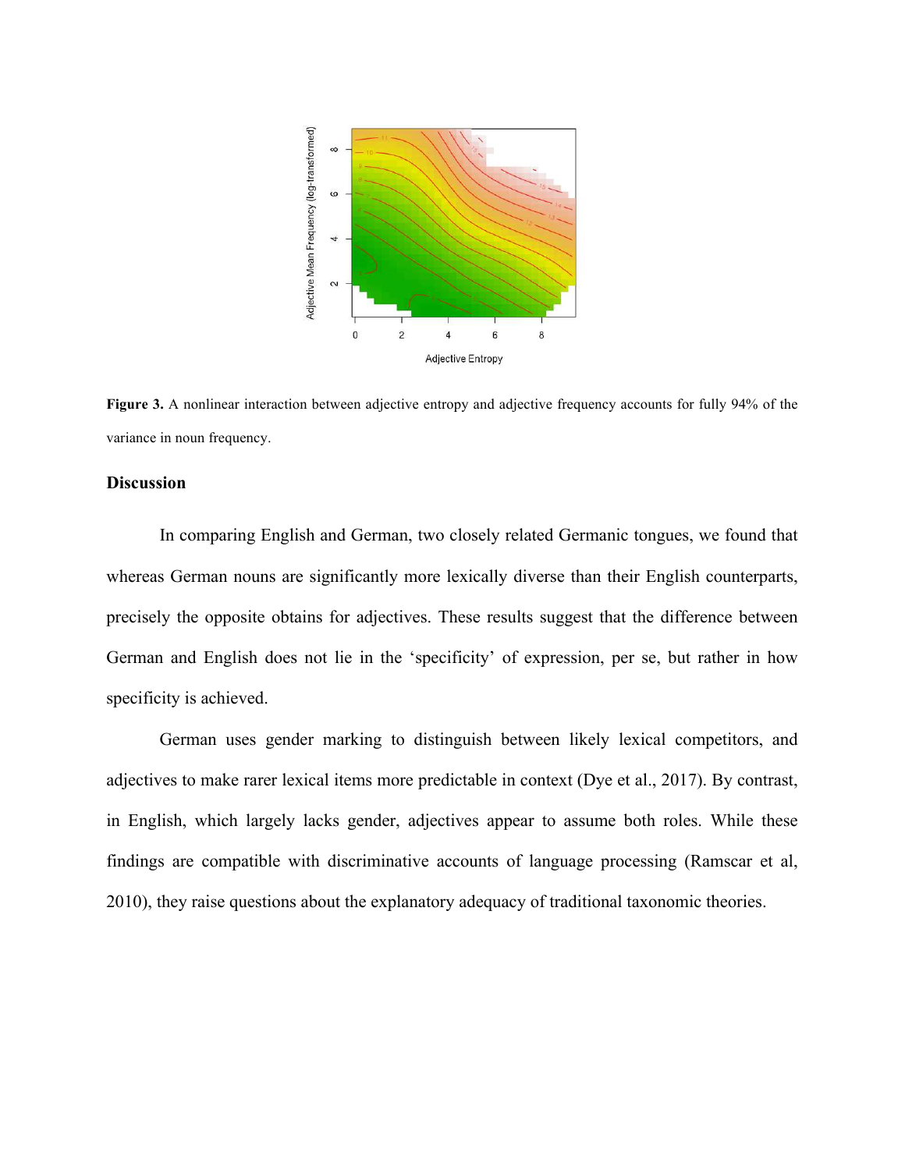

**Figure 3.** A nonlinear interaction between adjective entropy and adjective frequency accounts for fully 94% of the variance in noun frequency.

### **Discussion**

In comparing English and German, two closely related Germanic tongues, we found that whereas German nouns are significantly more lexically diverse than their English counterparts, precisely the opposite obtains for adjectives. These results suggest that the difference between German and English does not lie in the 'specificity' of expression, per se, but rather in how specificity is achieved.

German uses gender marking to distinguish between likely lexical competitors, and adjectives to make rarer lexical items more predictable in context (Dye et al., 2017). By contrast, in English, which largely lacks gender, adjectives appear to assume both roles. While these findings are compatible with discriminative accounts of language processing (Ramscar et al, 2010), they raise questions about the explanatory adequacy of traditional taxonomic theories.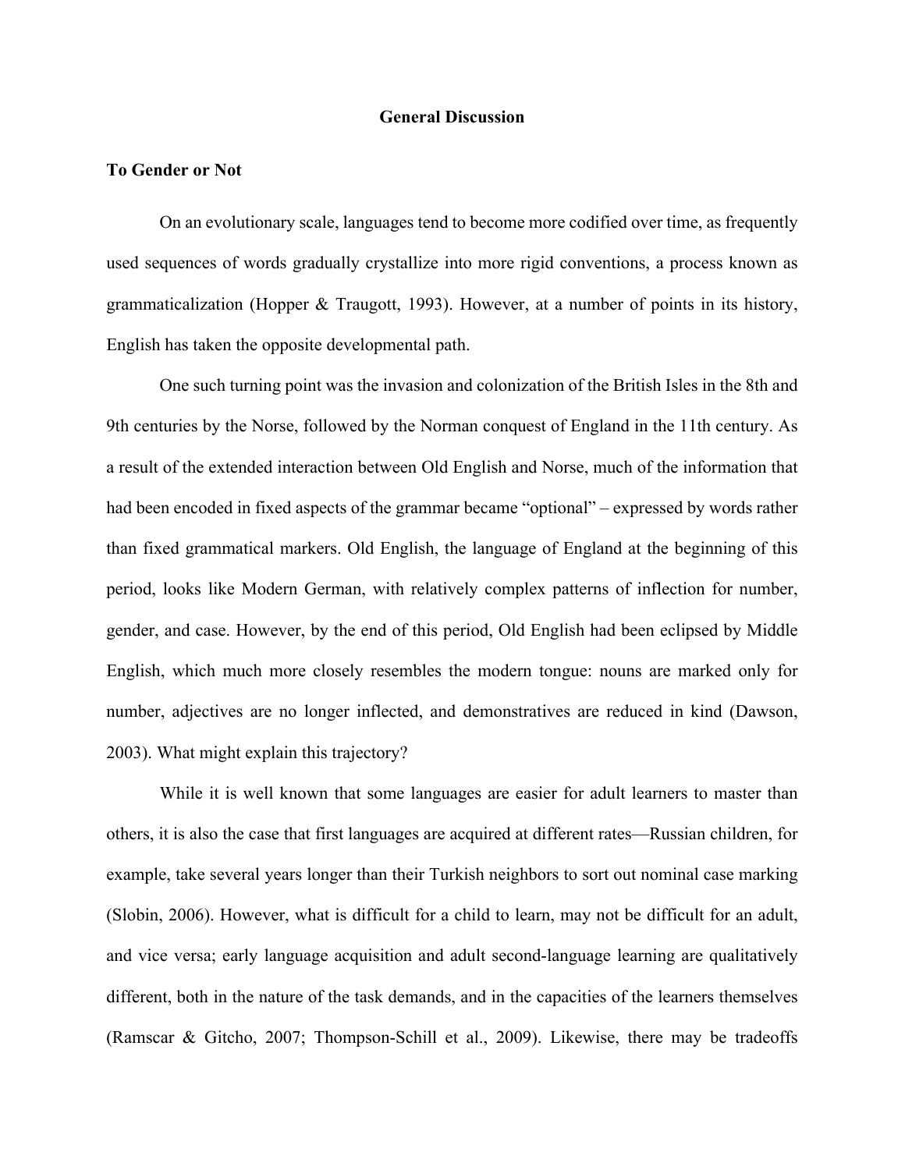#### **General Discussion**

#### **To Gender or Not**

On an evolutionary scale, languages tend to become more codified over time, as frequently used sequences of words gradually crystallize into more rigid conventions, a process known as grammaticalization (Hopper & Traugott, 1993). However, at a number of points in its history, English has taken the opposite developmental path.

One such turning point was the invasion and colonization of the British Isles in the 8th and 9th centuries by the Norse, followed by the Norman conquest of England in the 11th century. As a result of the extended interaction between Old English and Norse, much of the information that had been encoded in fixed aspects of the grammar became "optional" – expressed by words rather than fixed grammatical markers. Old English, the language of England at the beginning of this period, looks like Modern German, with relatively complex patterns of inflection for number, gender, and case. However, by the end of this period, Old English had been eclipsed by Middle English, which much more closely resembles the modern tongue: nouns are marked only for number, adjectives are no longer inflected, and demonstratives are reduced in kind (Dawson, 2003). What might explain this trajectory?

While it is well known that some languages are easier for adult learners to master than others, it is also the case that first languages are acquired at different rates—Russian children, for example, take several years longer than their Turkish neighbors to sort out nominal case marking (Slobin, 2006). However, what is difficult for a child to learn, may not be difficult for an adult, and vice versa; early language acquisition and adult second-language learning are qualitatively different, both in the nature of the task demands, and in the capacities of the learners themselves (Ramscar & Gitcho, 2007; Thompson-Schill et al., 2009). Likewise, there may be tradeoffs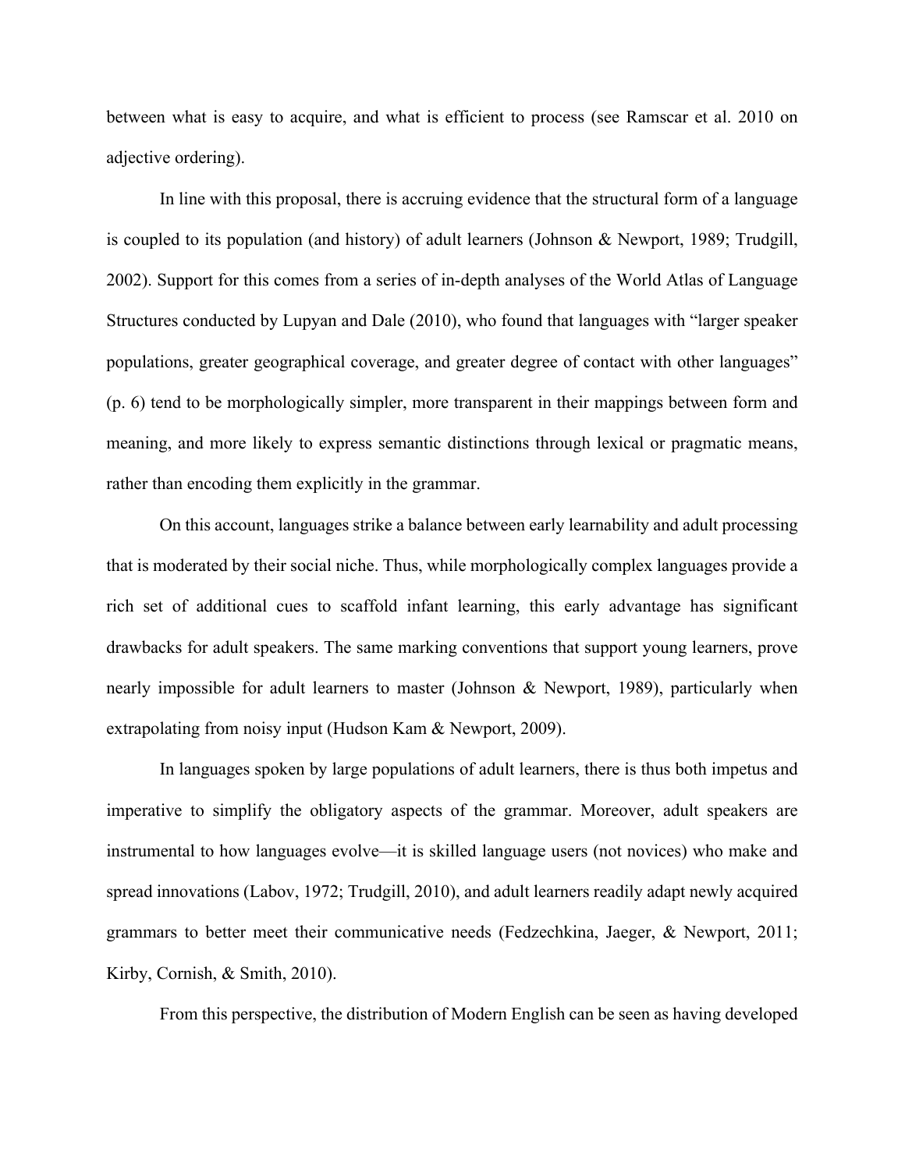between what is easy to acquire, and what is efficient to process (see Ramscar et al. 2010 on adjective ordering).

In line with this proposal, there is accruing evidence that the structural form of a language is coupled to its population (and history) of adult learners (Johnson & Newport, 1989; Trudgill, 2002). Support for this comes from a series of in-depth analyses of the World Atlas of Language Structures conducted by Lupyan and Dale (2010), who found that languages with "larger speaker populations, greater geographical coverage, and greater degree of contact with other languages" (p. 6) tend to be morphologically simpler, more transparent in their mappings between form and meaning, and more likely to express semantic distinctions through lexical or pragmatic means, rather than encoding them explicitly in the grammar.

On this account, languages strike a balance between early learnability and adult processing that is moderated by their social niche. Thus, while morphologically complex languages provide a rich set of additional cues to scaffold infant learning, this early advantage has significant drawbacks for adult speakers. The same marking conventions that support young learners, prove nearly impossible for adult learners to master (Johnson & Newport, 1989), particularly when extrapolating from noisy input (Hudson Kam & Newport, 2009).

In languages spoken by large populations of adult learners, there is thus both impetus and imperative to simplify the obligatory aspects of the grammar. Moreover, adult speakers are instrumental to how languages evolve—it is skilled language users (not novices) who make and spread innovations (Labov, 1972; Trudgill, 2010), and adult learners readily adapt newly acquired grammars to better meet their communicative needs (Fedzechkina, Jaeger, & Newport, 2011; Kirby, Cornish, & Smith, 2010).

From this perspective, the distribution of Modern English can be seen as having developed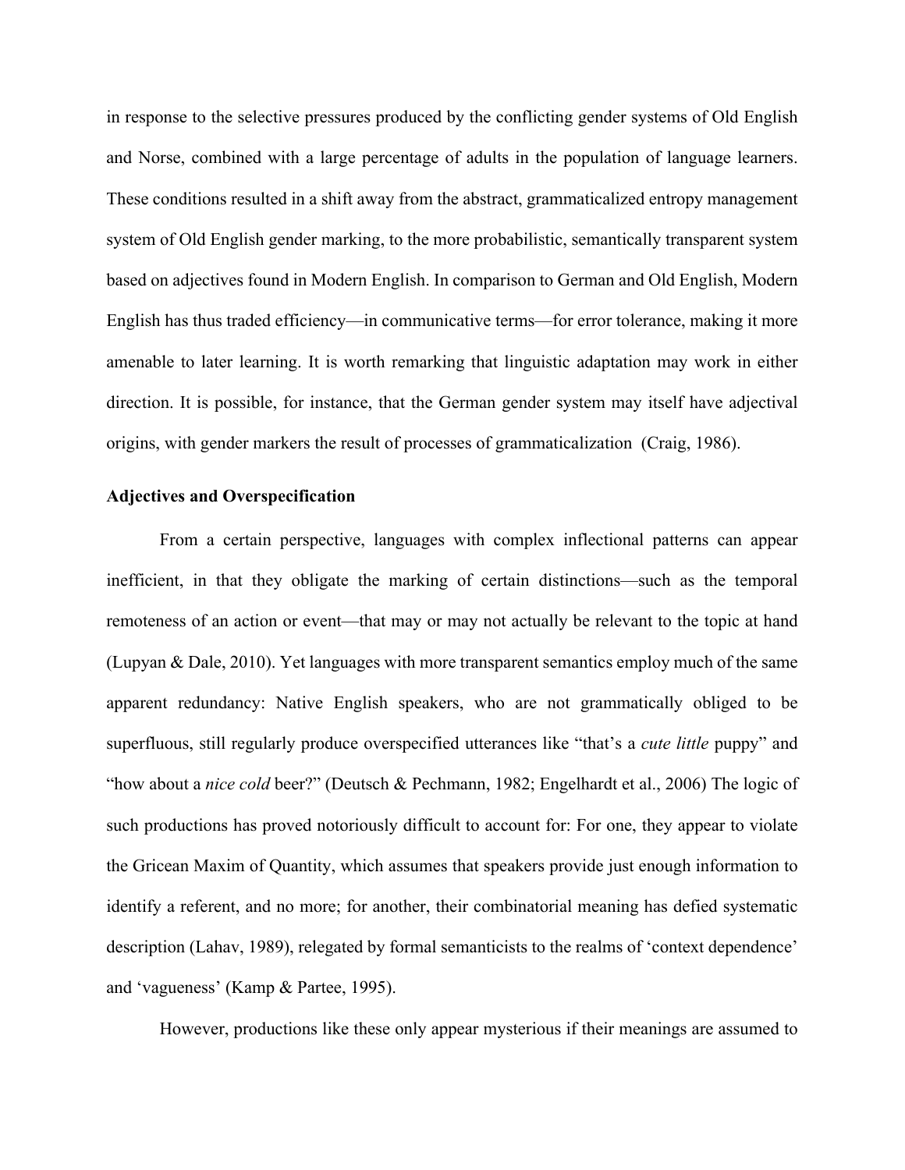in response to the selective pressures produced by the conflicting gender systems of Old English and Norse, combined with a large percentage of adults in the population of language learners. These conditions resulted in a shift away from the abstract, grammaticalized entropy management system of Old English gender marking, to the more probabilistic, semantically transparent system based on adjectives found in Modern English. In comparison to German and Old English, Modern English has thus traded efficiency—in communicative terms—for error tolerance, making it more amenable to later learning. It is worth remarking that linguistic adaptation may work in either direction. It is possible, for instance, that the German gender system may itself have adjectival origins, with gender markers the result of processes of grammaticalization (Craig, 1986).

#### **Adjectives and Overspecification**

From a certain perspective, languages with complex inflectional patterns can appear inefficient, in that they obligate the marking of certain distinctions—such as the temporal remoteness of an action or event—that may or may not actually be relevant to the topic at hand (Lupyan & Dale, 2010). Yet languages with more transparent semantics employ much of the same apparent redundancy: Native English speakers, who are not grammatically obliged to be superfluous, still regularly produce overspecified utterances like "that's a *cute little* puppy" and "how about a *nice cold* beer?" (Deutsch & Pechmann, 1982; Engelhardt et al., 2006) The logic of such productions has proved notoriously difficult to account for: For one, they appear to violate the Gricean Maxim of Quantity, which assumes that speakers provide just enough information to identify a referent, and no more; for another, their combinatorial meaning has defied systematic description (Lahav, 1989), relegated by formal semanticists to the realms of 'context dependence' and 'vagueness' (Kamp & Partee, 1995).

However, productions like these only appear mysterious if their meanings are assumed to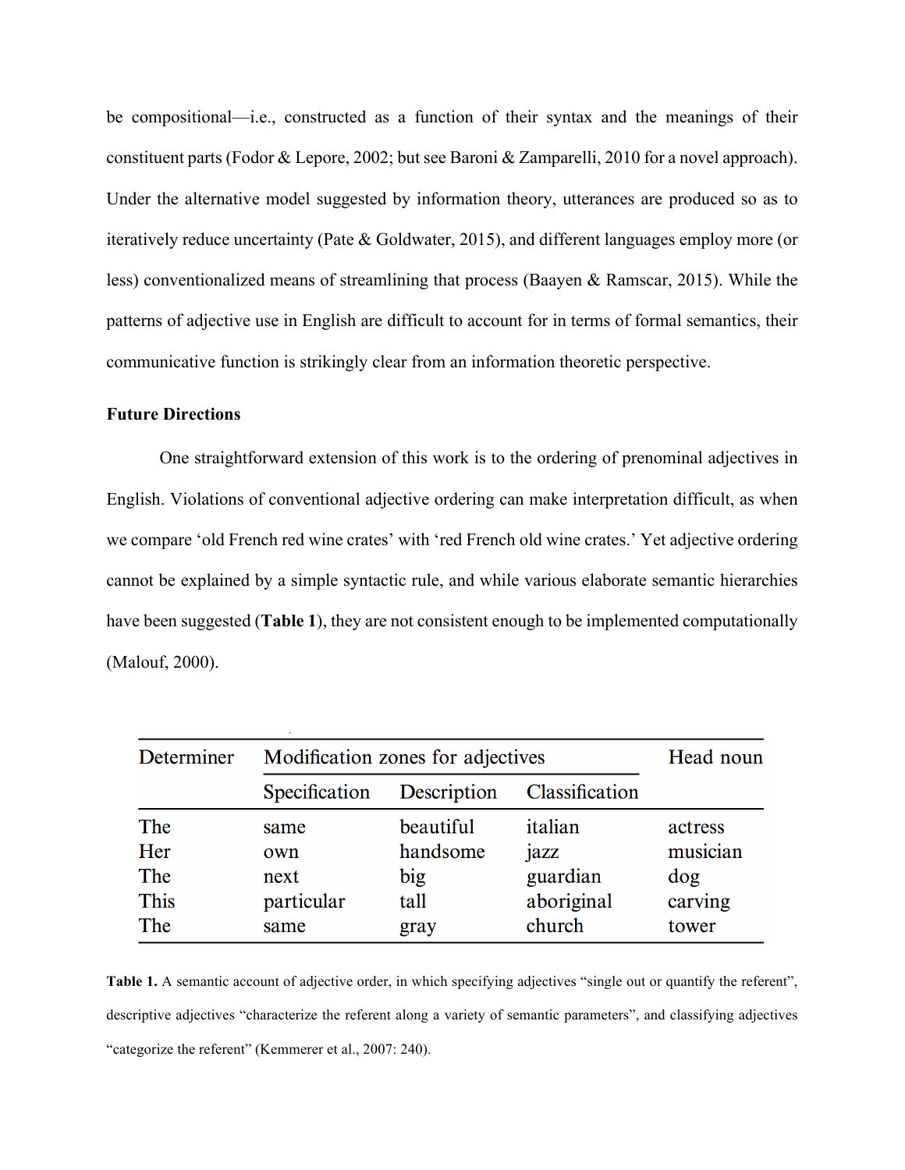be compositional—i.e., constructed as a function of their syntax and the meanings of their constituent parts (Fodor & Lepore, 2002; but see Baroni & Zamparelli, 2010 for a novel approach). Under the alternative model suggested by information theory, utterances are produced so as to iteratively reduce uncertainty (Pate & Goldwater, 2015), and different languages employ more (or less) conventionalized means of streamlining that process (Baayen & Ramscar, 2015). While the patterns of adjective use in English are difficult to account for in terms of formal semantics, their communicative function is strikingly clear from an information theoretic perspective.

### **Future Directions**

One straightforward extension of this work is to the ordering of prenominal adjectives in English. Violations of conventional adjective ordering can make interpretation difficult, as when we compare 'old French red wine crates' with 'red French old wine crates.' Yet adjective ordering cannot be explained by a simple syntactic rule, and while various elaborate semantic hierarchies have been suggested (**Table 1**), they are not consistent enough to be implemented computationally (Malouf, 2000).

| Determiner | Modification zones for adjectives |             |                | Head noun |
|------------|-----------------------------------|-------------|----------------|-----------|
|            | Specification                     | Description | Classification |           |
| The        | same                              | beautiful   | italian        | actress   |
| Her        | own                               | handsome    | jazz           | musician  |
| The        | next                              | big         | guardian       | dog       |
| This       | particular                        | tall        | aboriginal     | carving   |
| The        | same                              | gray        | church         | tower     |

Table 1. A semantic account of adjective order, in which specifying adjectives "single out or quantify the referent", descriptive adjectives "characterize the referent along a variety of semantic parameters", and classifying adjectives "categorize the referent" (Kemmerer et al., 2007: 240).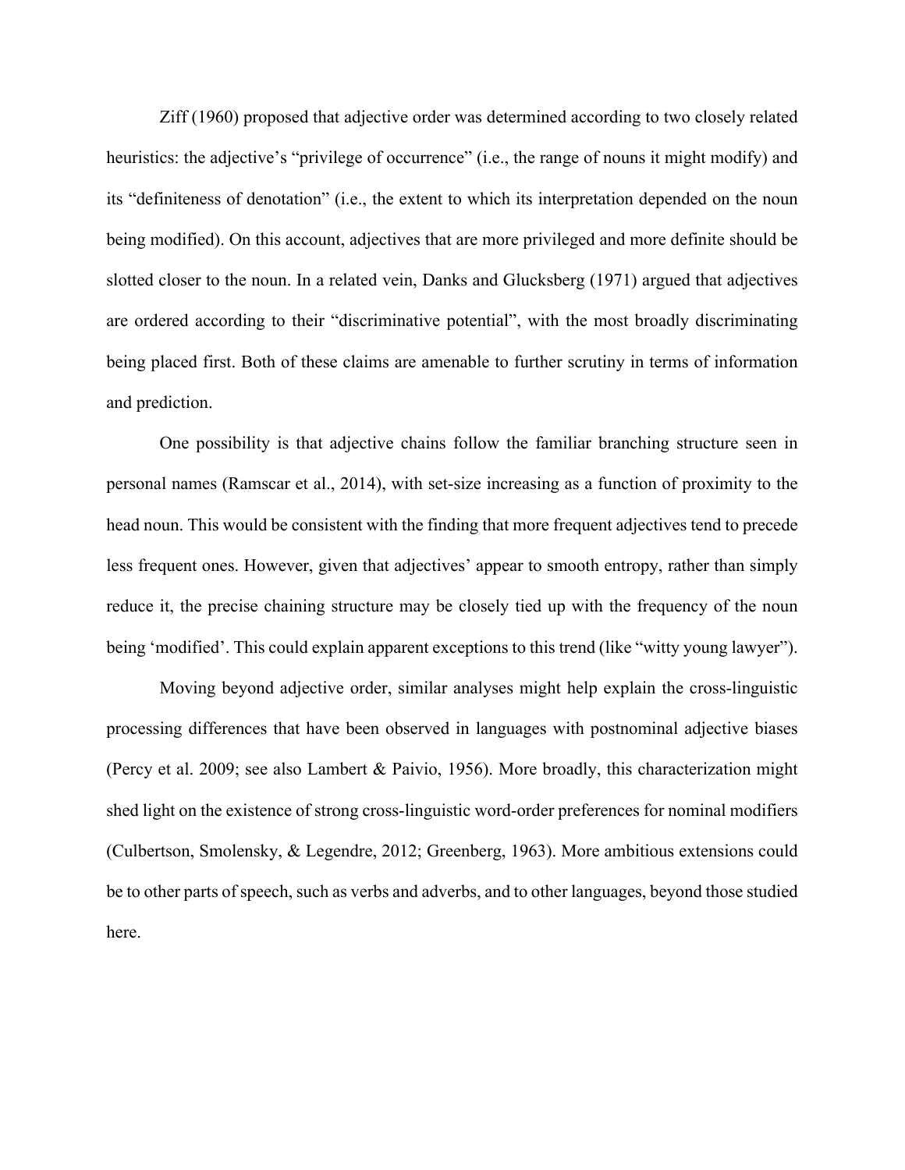Ziff (1960) proposed that adjective order was determined according to two closely related heuristics: the adjective's "privilege of occurrence" (i.e., the range of nouns it might modify) and its "definiteness of denotation" (i.e., the extent to which its interpretation depended on the noun being modified). On this account, adjectives that are more privileged and more definite should be slotted closer to the noun. In a related vein, Danks and Glucksberg (1971) argued that adjectives are ordered according to their "discriminative potential", with the most broadly discriminating being placed first. Both of these claims are amenable to further scrutiny in terms of information and prediction.

One possibility is that adjective chains follow the familiar branching structure seen in personal names (Ramscar et al., 2014), with set-size increasing as a function of proximity to the head noun. This would be consistent with the finding that more frequent adjectives tend to precede less frequent ones. However, given that adjectives' appear to smooth entropy, rather than simply reduce it, the precise chaining structure may be closely tied up with the frequency of the noun being 'modified'. This could explain apparent exceptions to this trend (like "witty young lawyer").

Moving beyond adjective order, similar analyses might help explain the cross-linguistic processing differences that have been observed in languages with postnominal adjective biases (Percy et al. 2009; see also Lambert & Paivio, 1956). More broadly, this characterization might shed light on the existence of strong cross-linguistic word-order preferences for nominal modifiers (Culbertson, Smolensky, & Legendre, 2012; Greenberg, 1963). More ambitious extensions could be to other parts of speech, such as verbs and adverbs, and to other languages, beyond those studied here.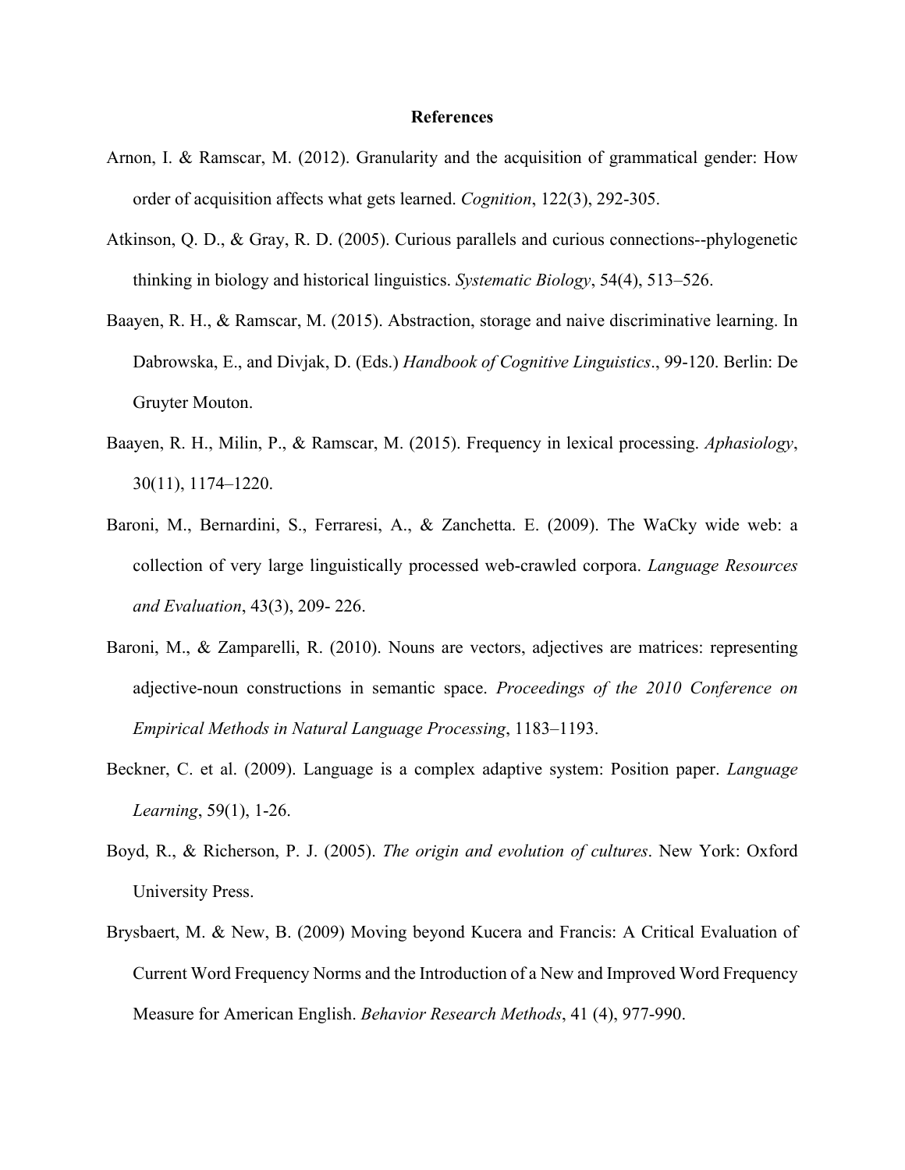#### **References**

- Arnon, I. & Ramscar, M. (2012). Granularity and the acquisition of grammatical gender: How order of acquisition affects what gets learned. *Cognition*, 122(3), 292-305.
- Atkinson, Q. D., & Gray, R. D. (2005). Curious parallels and curious connections--phylogenetic thinking in biology and historical linguistics. *Systematic Biology*, 54(4), 513–526.
- Baayen, R. H., & Ramscar, M. (2015). Abstraction, storage and naive discriminative learning. In Dabrowska, E., and Divjak, D. (Eds.) *Handbook of Cognitive Linguistics*., 99-120. Berlin: De Gruyter Mouton.
- Baayen, R. H., Milin, P., & Ramscar, M. (2015). Frequency in lexical processing. *Aphasiology*, 30(11), 1174–1220.
- Baroni, M., Bernardini, S., Ferraresi, A., & Zanchetta. E. (2009). The WaCky wide web: a collection of very large linguistically processed web-crawled corpora. *Language Resources and Evaluation*, 43(3), 209- 226.
- Baroni, M., & Zamparelli, R. (2010). Nouns are vectors, adjectives are matrices: representing adjective-noun constructions in semantic space. *Proceedings of the 2010 Conference on Empirical Methods in Natural Language Processing*, 1183–1193.
- Beckner, C. et al. (2009). Language is a complex adaptive system: Position paper. *Language Learning*, 59(1), 1-26.
- Boyd, R., & Richerson, P. J. (2005). *The origin and evolution of cultures*. New York: Oxford University Press.
- Brysbaert, M. & New, B. (2009) Moving beyond Kucera and Francis: A Critical Evaluation of Current Word Frequency Norms and the Introduction of a New and Improved Word Frequency Measure for American English. *Behavior Research Methods*, 41 (4), 977-990.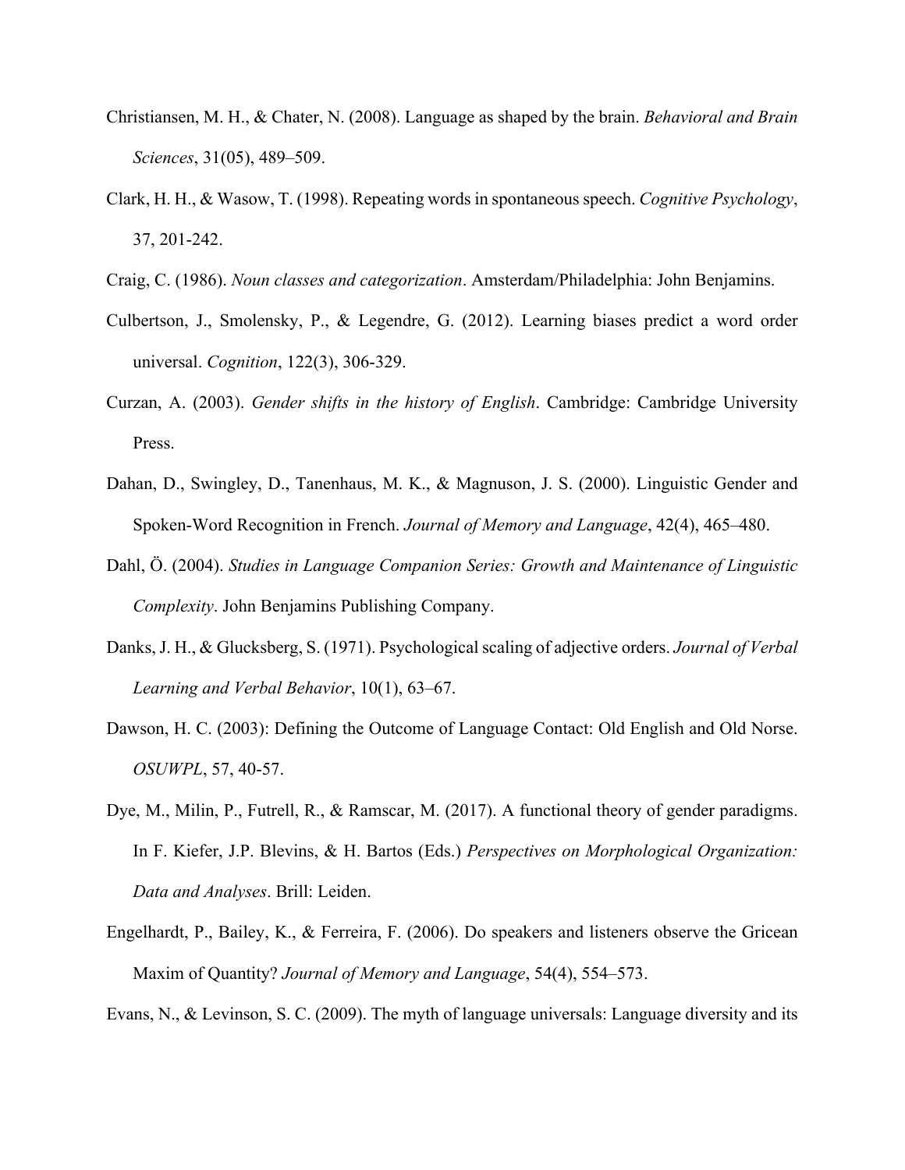- Christiansen, M. H., & Chater, N. (2008). Language as shaped by the brain. *Behavioral and Brain Sciences*, 31(05), 489–509.
- Clark, H. H., & Wasow, T. (1998). Repeating words in spontaneous speech. *Cognitive Psychology*, 37, 201-242.
- Craig, C. (1986). *Noun classes and categorization*. Amsterdam/Philadelphia: John Benjamins.
- Culbertson, J., Smolensky, P., & Legendre, G. (2012). Learning biases predict a word order universal. *Cognition*, 122(3), 306-329.
- Curzan, A. (2003). *Gender shifts in the history of English*. Cambridge: Cambridge University Press.
- Dahan, D., Swingley, D., Tanenhaus, M. K., & Magnuson, J. S. (2000). Linguistic Gender and Spoken-Word Recognition in French. *Journal of Memory and Language*, 42(4), 465–480.
- Dahl, Ö. (2004). *Studies in Language Companion Series: Growth and Maintenance of Linguistic Complexity*. John Benjamins Publishing Company.
- Danks, J. H., & Glucksberg, S. (1971). Psychological scaling of adjective orders. *Journal of Verbal Learning and Verbal Behavior*, 10(1), 63–67.
- Dawson, H. C. (2003): Defining the Outcome of Language Contact: Old English and Old Norse. *OSUWPL*, 57, 40-57.
- Dye, M., Milin, P., Futrell, R., & Ramscar, M. (2017). A functional theory of gender paradigms. In F. Kiefer, J.P. Blevins, & H. Bartos (Eds.) *Perspectives on Morphological Organization: Data and Analyses*. Brill: Leiden.
- Engelhardt, P., Bailey, K., & Ferreira, F. (2006). Do speakers and listeners observe the Gricean Maxim of Quantity? *Journal of Memory and Language*, 54(4), 554–573.

Evans, N., & Levinson, S. C. (2009). The myth of language universals: Language diversity and its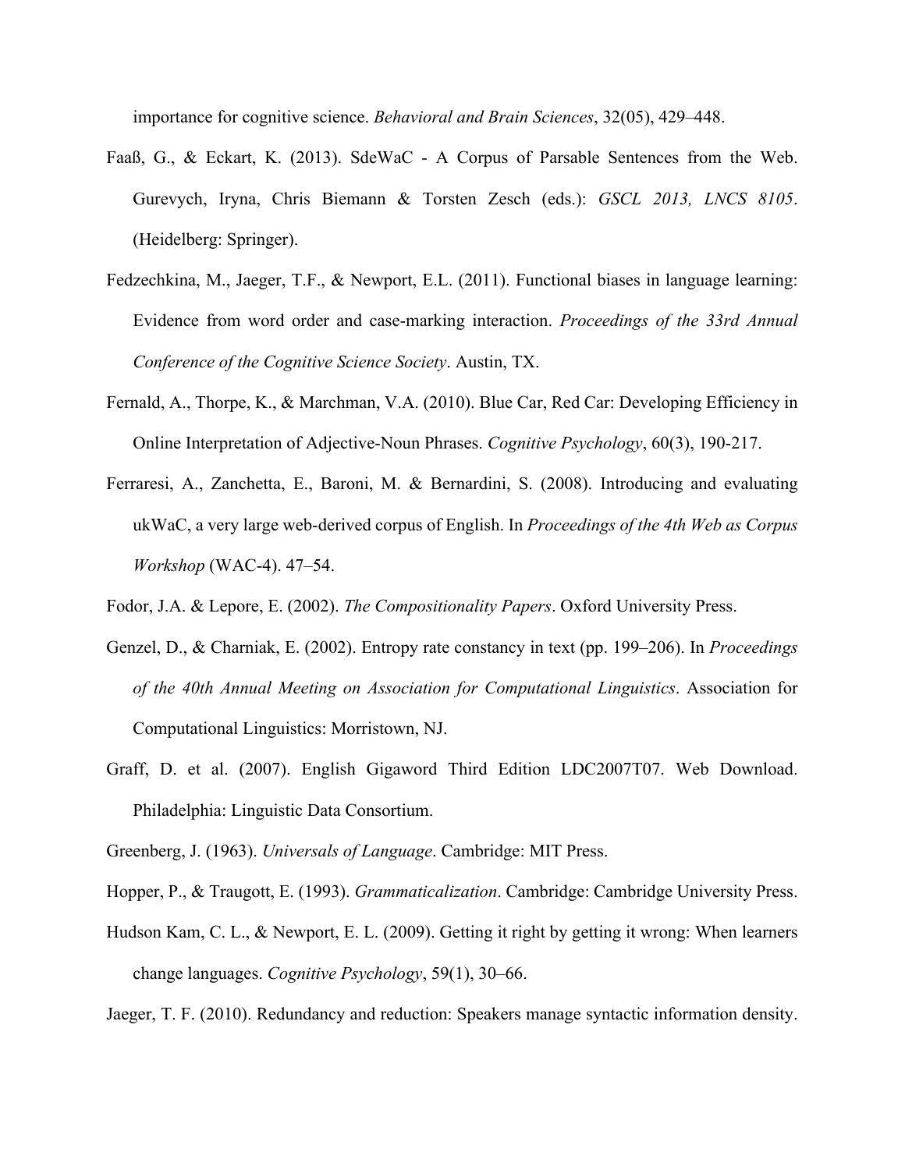importance for cognitive science. *Behavioral and Brain Sciences*, 32(05), 429–448.

- Faaß, G., & Eckart, K. (2013). SdeWaC A Corpus of Parsable Sentences from the Web. Gurevych, Iryna, Chris Biemann & Torsten Zesch (eds.): *GSCL 2013, LNCS 8105*. (Heidelberg: Springer).
- Fedzechkina, M., Jaeger, T.F., & Newport, E.L. (2011). Functional biases in language learning: Evidence from word order and case-marking interaction. *Proceedings of the 33rd Annual Conference of the Cognitive Science Society*. Austin, TX.
- Fernald, A., Thorpe, K., & Marchman, V.A. (2010). Blue Car, Red Car: Developing Efficiency in Online Interpretation of Adjective-Noun Phrases. *Cognitive Psychology*, 60(3), 190-217.
- Ferraresi, A., Zanchetta, E., Baroni, M. & Bernardini, S. (2008). Introducing and evaluating ukWaC, a very large web-derived corpus of English. In *Proceedings of the 4th Web as Corpus Workshop* (WAC-4). 47–54.
- Fodor, J.A. & Lepore, E. (2002). *The Compositionality Papers*. Oxford University Press.
- Genzel, D., & Charniak, E. (2002). Entropy rate constancy in text (pp. 199–206). In *Proceedings of the 40th Annual Meeting on Association for Computational Linguistics*. Association for Computational Linguistics: Morristown, NJ.
- Graff, D. et al. (2007). English Gigaword Third Edition LDC2007T07. Web Download. Philadelphia: Linguistic Data Consortium.
- Greenberg, J. (1963). *Universals of Language*. Cambridge: MIT Press.
- Hopper, P., & Traugott, E. (1993). *Grammaticalization*. Cambridge: Cambridge University Press.
- Hudson Kam, C. L., & Newport, E. L. (2009). Getting it right by getting it wrong: When learners change languages. *Cognitive Psychology*, 59(1), 30–66.
- Jaeger, T. F. (2010). Redundancy and reduction: Speakers manage syntactic information density.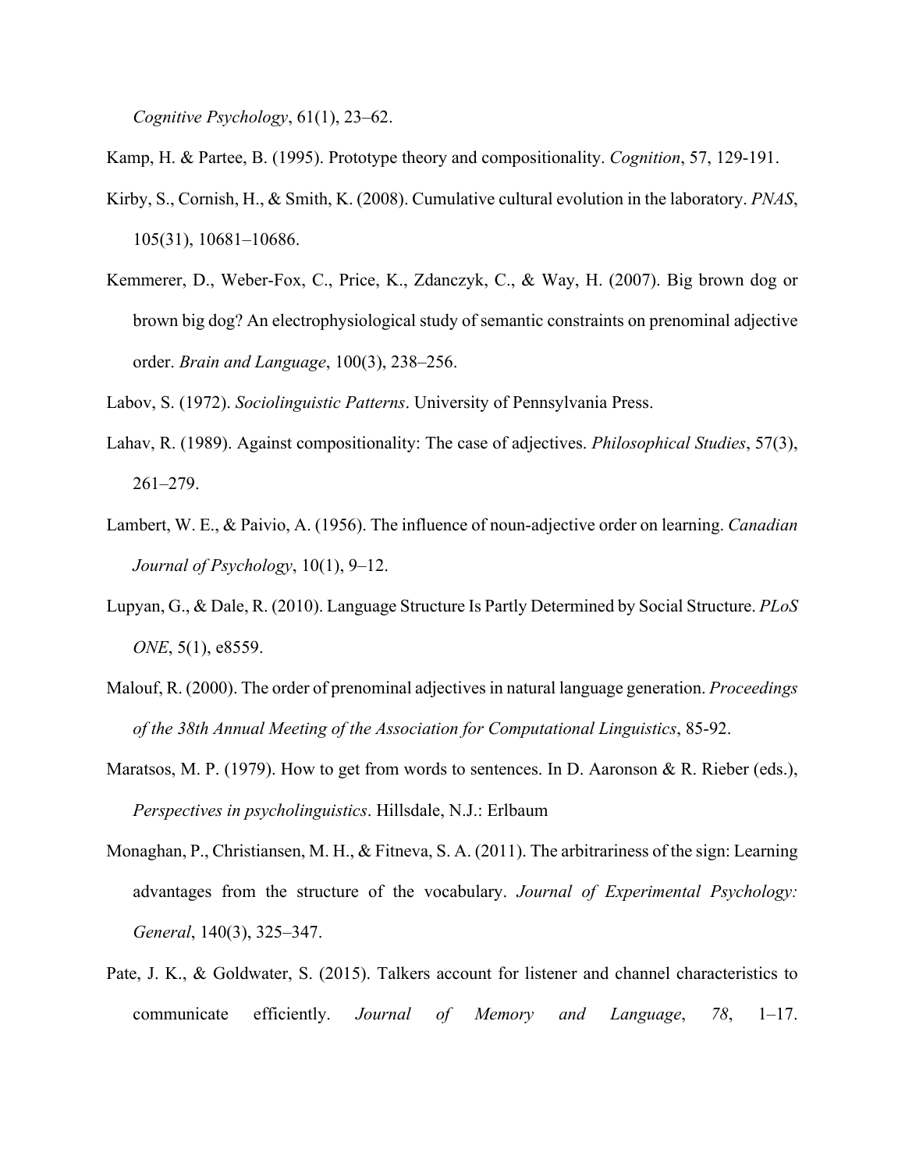*Cognitive Psychology*, 61(1), 23–62.

Kamp, H. & Partee, B. (1995). Prototype theory and compositionality. *Cognition*, 57, 129-191.

- Kirby, S., Cornish, H., & Smith, K. (2008). Cumulative cultural evolution in the laboratory. *PNAS*, 105(31), 10681–10686.
- Kemmerer, D., Weber-Fox, C., Price, K., Zdanczyk, C., & Way, H. (2007). Big brown dog or brown big dog? An electrophysiological study of semantic constraints on prenominal adjective order. *Brain and Language*, 100(3), 238–256.

Labov, S. (1972). *Sociolinguistic Patterns*. University of Pennsylvania Press.

- Lahav, R. (1989). Against compositionality: The case of adjectives. *Philosophical Studies*, 57(3), 261–279.
- Lambert, W. E., & Paivio, A. (1956). The influence of noun-adjective order on learning. *Canadian Journal of Psychology*, 10(1), 9–12.
- Lupyan, G., & Dale, R. (2010). Language Structure Is Partly Determined by Social Structure. *PLoS ONE*, 5(1), e8559.
- Malouf, R. (2000). The order of prenominal adjectives in natural language generation. *Proceedings of the 38th Annual Meeting of the Association for Computational Linguistics*, 85-92.
- Maratsos, M. P. (1979). How to get from words to sentences. In D. Aaronson & R. Rieber (eds.), *Perspectives in psycholinguistics*. Hillsdale, N.J.: Erlbaum
- Monaghan, P., Christiansen, M. H., & Fitneva, S. A. (2011). The arbitrariness of the sign: Learning advantages from the structure of the vocabulary. *Journal of Experimental Psychology: General*, 140(3), 325–347.
- Pate, J. K., & Goldwater, S. (2015). Talkers account for listener and channel characteristics to communicate efficiently. *Journal of Memory and Language*, *78*, 1–17.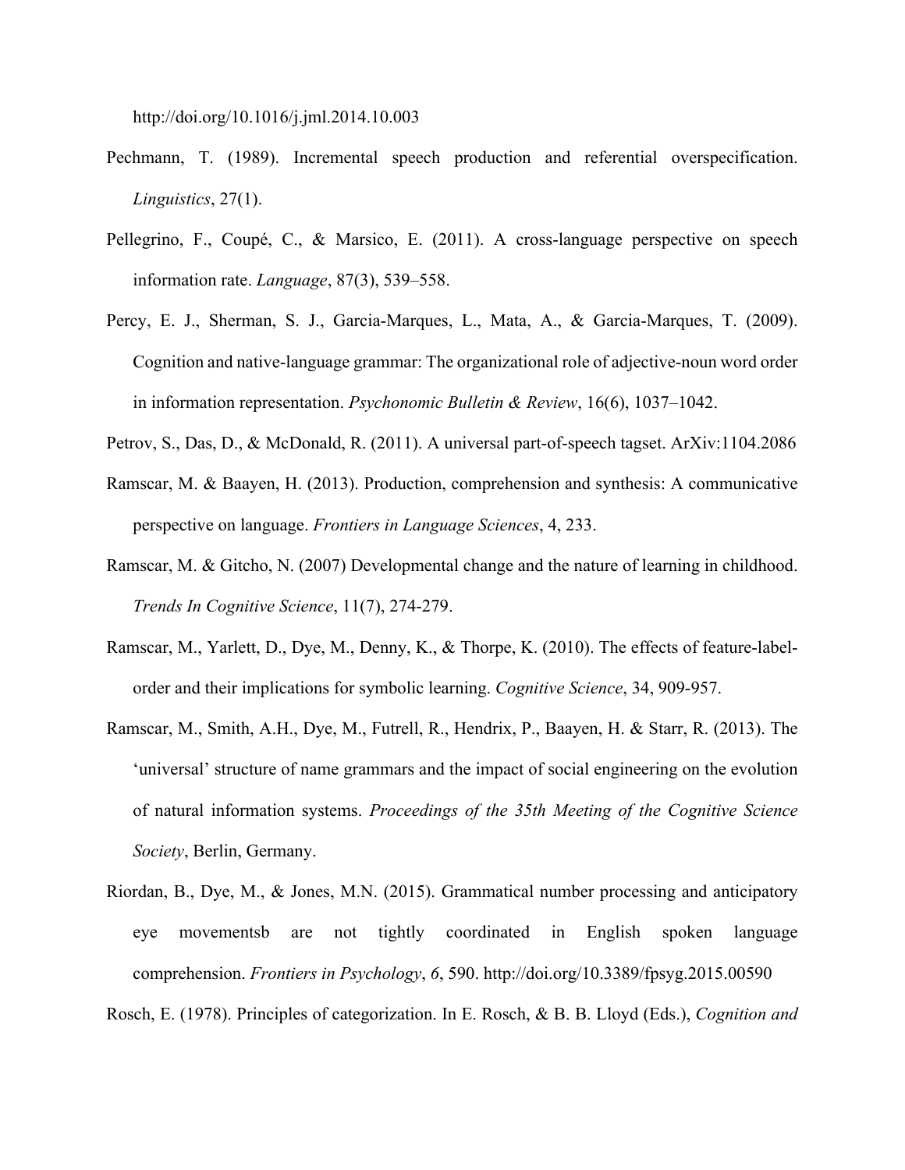http://doi.org/10.1016/j.jml.2014.10.003

- Pechmann, T. (1989). Incremental speech production and referential overspecification. *Linguistics*, 27(1).
- Pellegrino, F., Coupé, C., & Marsico, E. (2011). A cross-language perspective on speech information rate. *Language*, 87(3), 539–558.
- Percy, E. J., Sherman, S. J., Garcia-Marques, L., Mata, A., & Garcia-Marques, T. (2009). Cognition and native-language grammar: The organizational role of adjective-noun word order in information representation. *Psychonomic Bulletin & Review*, 16(6), 1037–1042.
- Petrov, S., Das, D., & McDonald, R. (2011). A universal part-of-speech tagset. ArXiv:1104.2086
- Ramscar, M. & Baayen, H. (2013). Production, comprehension and synthesis: A communicative perspective on language. *Frontiers in Language Sciences*, 4, 233.
- Ramscar, M. & Gitcho, N. (2007) Developmental change and the nature of learning in childhood. *Trends In Cognitive Science*, 11(7), 274-279.
- Ramscar, M., Yarlett, D., Dye, M., Denny, K., & Thorpe, K. (2010). The effects of feature-labelorder and their implications for symbolic learning. *Cognitive Science*, 34, 909-957.
- Ramscar, M., Smith, A.H., Dye, M., Futrell, R., Hendrix, P., Baayen, H. & Starr, R. (2013). The 'universal' structure of name grammars and the impact of social engineering on the evolution of natural information systems. *Proceedings of the 35th Meeting of the Cognitive Science Society*, Berlin, Germany.
- Riordan, B., Dye, M., & Jones, M.N. (2015). Grammatical number processing and anticipatory eye movementsb are not tightly coordinated in English spoken language comprehension. *Frontiers in Psychology*, *6*, 590. http://doi.org/10.3389/fpsyg.2015.00590

Rosch, E. (1978). Principles of categorization. In E. Rosch, & B. B. Lloyd (Eds.), *Cognition and*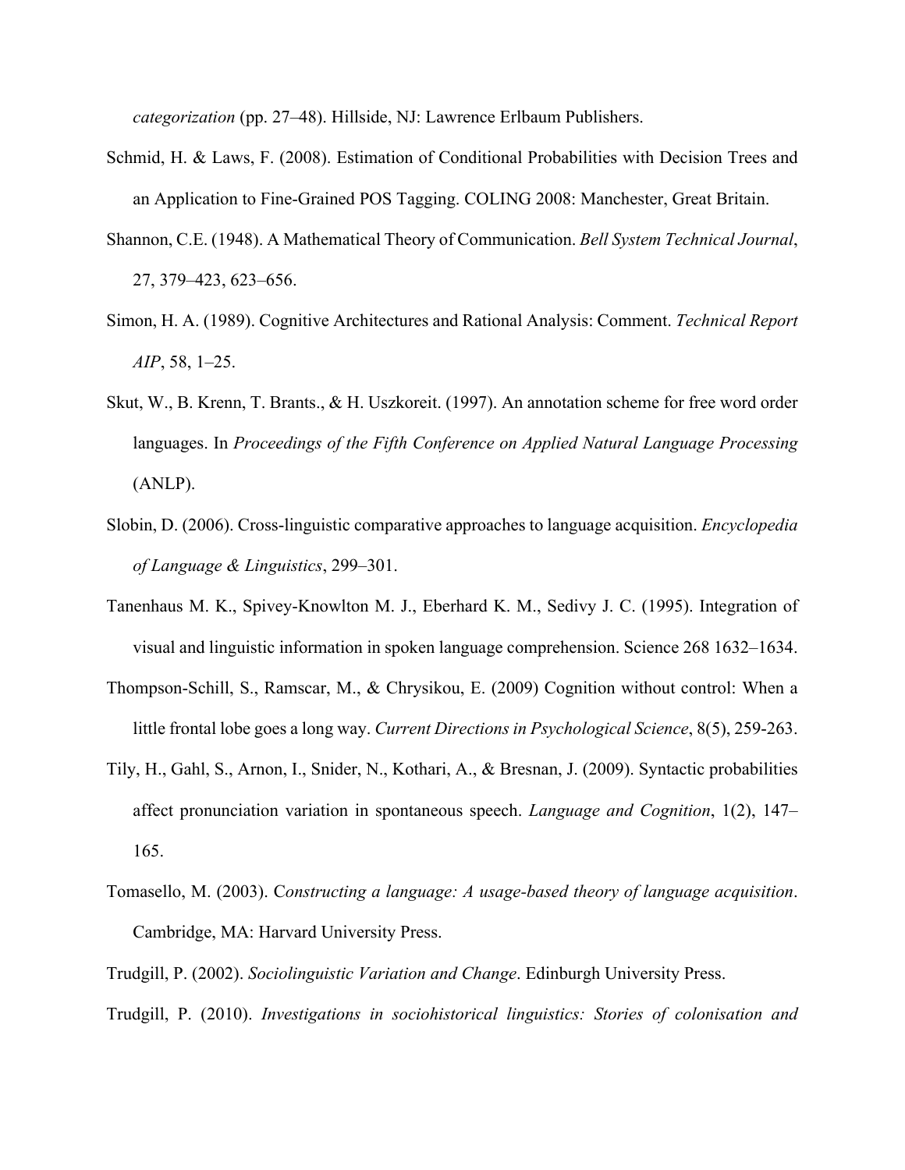*categorization* (pp. 27–48). Hillside, NJ: Lawrence Erlbaum Publishers.

- Schmid, H. & Laws, F. (2008). Estimation of Conditional Probabilities with Decision Trees and an Application to Fine-Grained POS Tagging. COLING 2008: Manchester, Great Britain.
- Shannon, C.E. (1948). A Mathematical Theory of Communication. *Bell System Technical Journal*, 27, 379–423, 623–656.
- Simon, H. A. (1989). Cognitive Architectures and Rational Analysis: Comment. *Technical Report AIP*, 58, 1–25.
- Skut, W., B. Krenn, T. Brants., & H. Uszkoreit. (1997). An annotation scheme for free word order languages. In *Proceedings of the Fifth Conference on Applied Natural Language Processing* (ANLP).
- Slobin, D. (2006). Cross-linguistic comparative approaches to language acquisition. *Encyclopedia of Language & Linguistics*, 299–301.
- Tanenhaus M. K., Spivey-Knowlton M. J., Eberhard K. M., Sedivy J. C. (1995). Integration of visual and linguistic information in spoken language comprehension. Science 268 1632–1634.
- Thompson-Schill, S., Ramscar, M., & Chrysikou, E. (2009) Cognition without control: When a little frontal lobe goes a long way. *Current Directions in Psychological Science*, 8(5), 259-263.
- Tily, H., Gahl, S., Arnon, I., Snider, N., Kothari, A., & Bresnan, J. (2009). Syntactic probabilities affect pronunciation variation in spontaneous speech. *Language and Cognition*, 1(2), 147– 165.
- Tomasello, M. (2003). C*onstructing a language: A usage-based theory of language acquisition*. Cambridge, MA: Harvard University Press.
- Trudgill, P. (2002). *Sociolinguistic Variation and Change*. Edinburgh University Press.
- Trudgill, P. (2010). *Investigations in sociohistorical linguistics: Stories of colonisation and*